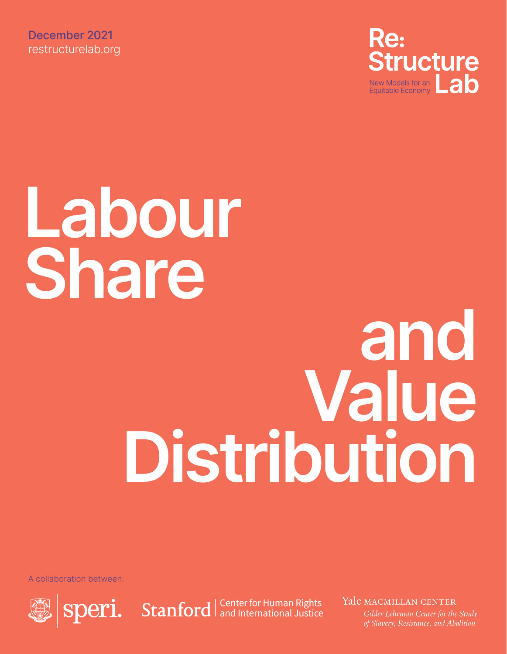December 2021 [restructurelab.org](https://www.restructurelab.org/)



# **Labour Share**

# **and Value Distribution**

A collaboration between:



Speri. Stanford | Center for Human Rights

Yale MACMILLAN CENTER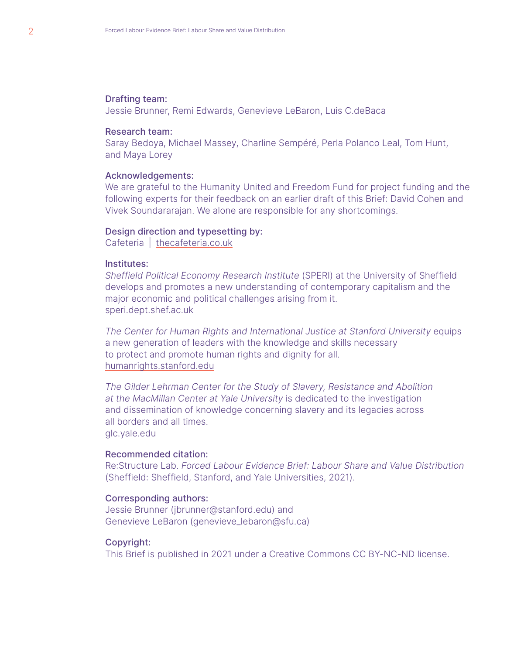#### Drafting team:

Jessie Brunner, Remi Edwards, Genevieve LeBaron, Luis C.deBaca

#### Research team:

Saray Bedoya, Michael Massey, Charline Sempéré, Perla Polanco Leal, Tom Hunt, and Maya Lorey

#### Acknowledgements:

We are grateful to the Humanity United and Freedom Fund for project funding and the following experts for their feedback on an earlier draft of this Brief: David Cohen and Vivek Soundararajan. We alone are responsible for any shortcomings.

#### Design direction and typesetting by:

Cafeteria | [thecafeteria.co.uk](https://bit.ly/313uLxq)

#### Institutes:

*Sheffield Political Economy Research Institute* (SPERI) at the University of Sheffield develops and promotes a new understanding of contemporary capitalism and the major economic and political challenges arising from it. [speri.dept.shef.ac.uk](http://speri.dept.shef.ac.uk)

*The Center for Human Rights and International Justice at Stanford University* equips a new generation of leaders with the knowledge and skills necessary to protect and promote human rights and dignity for all. [humanrights.stanford.edu](https://humanrights.stanford.edu)

*The Gilder Lehrman Center for the Study of Slavery, Resistance and Abolition at the MacMillan Center at Yale University* is dedicated to the investigation and dissemination of knowledge concerning slavery and its legacies across all borders and all times. [glc.yale.edu](https://glc.yale.edu)

#### Recommended citation:

Re:Structure Lab. *Forced Labour Evidence Brief: Labour Share and Value Distribution* (Sheffield: Sheffield, Stanford, and Yale Universities, 2021).

#### Corresponding authors:

Jessie Brunner [\(jbrunner@stanford.edu](mailto:jbrunner%40stanford.edu?subject=)) and Genevieve LeBaron [\(genevieve\\_lebaron@sfu.ca\)](mailto:genevieve_lebaron%40sfu.ca?subject=)

#### Copyright:

This Brief is published in 2021 under a Creative Commons CC BY-NC-ND license.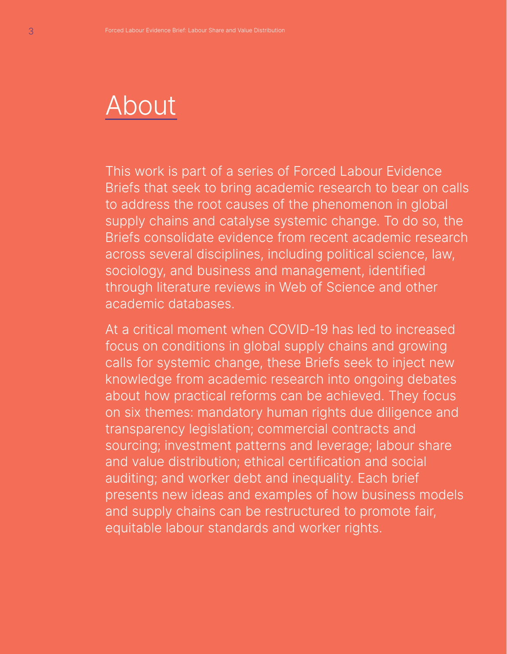# About

This work is part of a series of Forced Labour Evidence Briefs that seek to bring academic research to bear on calls to address the root causes of the phenomenon in global supply chains and catalyse systemic change. To do so, the Briefs consolidate evidence from recent academic research across several disciplines, including political science, law, sociology, and business and management, identified through literature reviews in Web of Science and other academic databases.

At a critical moment when COVID-19 has led to increased focus on conditions in global supply chains and growing calls for systemic change, these Briefs seek to inject new knowledge from academic research into ongoing debates about how practical reforms can be achieved. They focus on six themes: mandatory human rights due diligence and transparency legislation; commercial contracts and sourcing; investment patterns and leverage; labour share and value distribution; ethical certification and social auditing; and worker debt and inequality. Each brief presents new ideas and examples of how business models and supply chains can be restructured to promote fair, equitable labour standards and worker rights.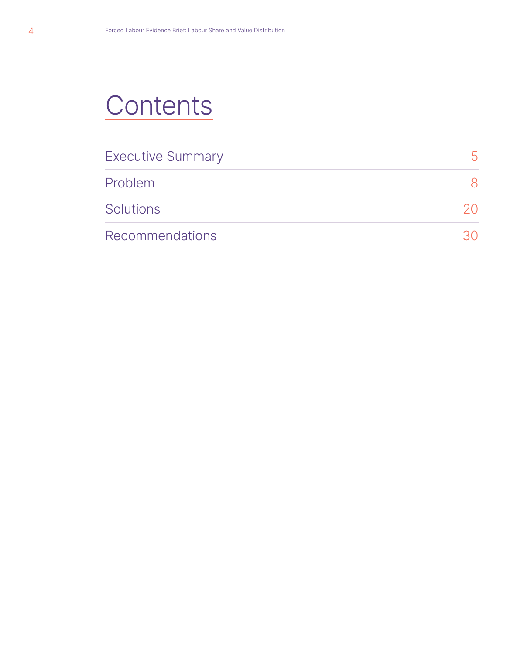# **Contents**

| <b>Executive Summary</b> |    |
|--------------------------|----|
| Problem                  |    |
| <b>Solutions</b>         | 20 |
| Recommendations          |    |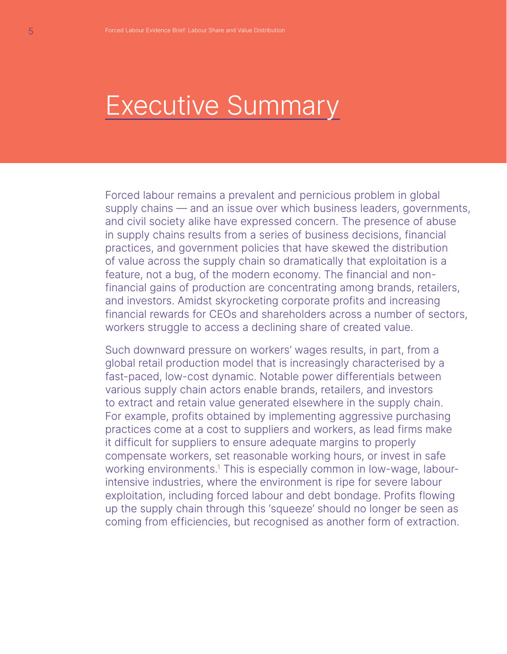# Executive Summary

Forced labour remains a prevalent and pernicious problem in global supply chains — and an issue over which business leaders, governments, and civil society alike have expressed concern. The presence of abuse in supply chains results from a series of business decisions, financial practices, and government policies that have skewed the distribution of value across the supply chain so dramatically that exploitation is a feature, not a bug, of the modern economy. The financial and nonfinancial gains of production are concentrating among brands, retailers, and investors. Amidst skyrocketing corporate profits and increasing financial rewards for CEOs and shareholders across a number of sectors, workers struggle to access a declining share of created value.

Such downward pressure on workers' wages results, in part, from a global retail production model that is increasingly characterised by a fast-paced, low-cost dynamic. Notable power differentials between various supply chain actors enable brands, retailers, and investors to extract and retain value generated elsewhere in the supply chain. For example, profits obtained by implementing aggressive purchasing practices come at a cost to suppliers and workers, as lead firms make it difficult for suppliers to ensure adequate margins to properly compensate workers, set reasonable working hours, or invest in safe working environments.<sup>1</sup> This is especially common in low-wage, labourintensive industries, where the environment is ripe for severe labour exploitation, including forced labour and debt bondage. Profits flowing up the supply chain through this 'squeeze' should no longer be seen as coming from efficiencies, but recognised as another form of extraction.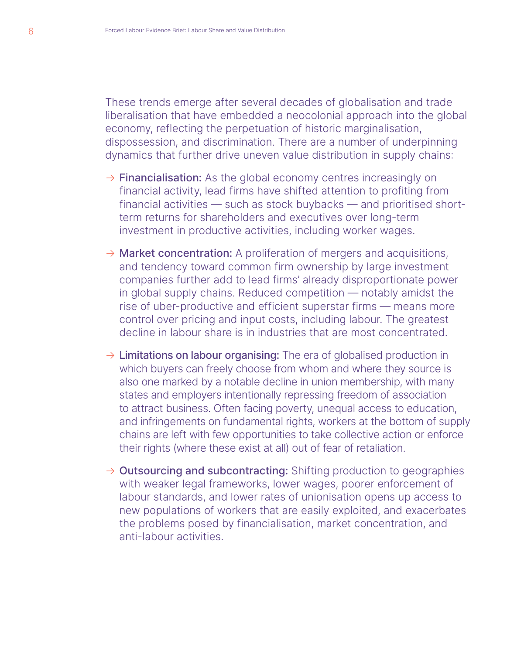These trends emerge after several decades of globalisation and trade liberalisation that have embedded a neocolonial approach into the global economy, reflecting the perpetuation of historic marginalisation, dispossession, and discrimination. There are a number of underpinning dynamics that further drive uneven value distribution in supply chains:

- $\rightarrow$  Financialisation: As the global economy centres increasingly on financial activity, lead firms have shifted attention to profiting from financial activities — such as stock buybacks — and prioritised shortterm returns for shareholders and executives over long-term investment in productive activities, including worker wages.
- $\rightarrow$  Market concentration: A proliferation of mergers and acquisitions, and tendency toward common firm ownership by large investment companies further add to lead firms' already disproportionate power in global supply chains. Reduced competition — notably amidst the rise of uber-productive and efficient superstar firms — means more control over pricing and input costs, including labour. The greatest decline in labour share is in industries that are most concentrated.
- $\rightarrow$  Limitations on labour organising: The era of globalised production in which buyers can freely choose from whom and where they source is also one marked by a notable decline in union membership, with many states and employers intentionally repressing freedom of association to attract business. Often facing poverty, unequal access to education, and infringements on fundamental rights, workers at the bottom of supply chains are left with few opportunities to take collective action or enforce their rights (where these exist at all) out of fear of retaliation.
- $\rightarrow$  Outsourcing and subcontracting: Shifting production to geographies with weaker legal frameworks, lower wages, poorer enforcement of labour standards, and lower rates of unionisation opens up access to new populations of workers that are easily exploited, and exacerbates the problems posed by financialisation, market concentration, and anti-labour activities.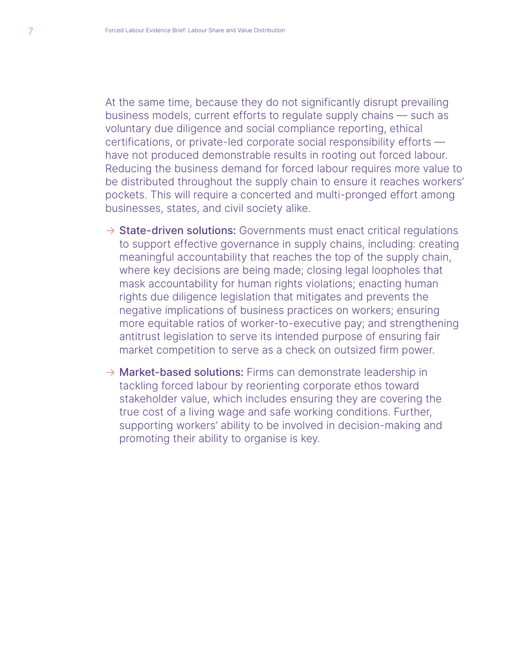At the same time, because they do not significantly disrupt prevailing business models, current efforts to regulate supply chains — such as voluntary due diligence and social compliance reporting, ethical certifications, or private-led corporate social responsibility efforts have not produced demonstrable results in rooting out forced labour. Reducing the business demand for forced labour requires more value to be distributed throughout the supply chain to ensure it reaches workers' pockets. This will require a concerted and multi-pronged effort among businesses, states, and civil society alike.

- $\rightarrow$  State-driven solutions: Governments must enact critical regulations to support effective governance in supply chains, including: creating meaningful accountability that reaches the top of the supply chain, where key decisions are being made; closing legal loopholes that mask accountability for human rights violations; enacting human rights due diligence legislation that mitigates and prevents the negative implications of business practices on workers; ensuring more equitable ratios of worker-to-executive pay; and strengthening antitrust legislation to serve its intended purpose of ensuring fair market competition to serve as a check on outsized firm power.
- $\rightarrow$  Market-based solutions: Firms can demonstrate leadership in tackling forced labour by reorienting corporate ethos toward stakeholder value, which includes ensuring they are covering the true cost of a living wage and safe working conditions. Further, supporting workers' ability to be involved in decision-making and promoting their ability to organise is key.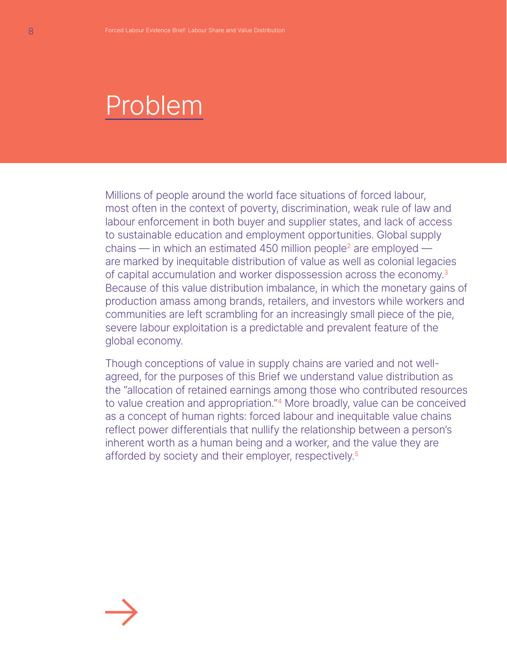# Problem

Millions of people around the world face situations of forced labour, most often in the context of poverty, discrimination, weak rule of law and labour enforcement in both buyer and supplier states, and lack of access to sustainable education and employment opportunities. Global supply chains  $-$  in which an estimated 450 million people<sup>2</sup> are employed  $$ are marked by inequitable distribution of value as well as colonial legacies of capital accumulation and worker dispossession across the economy.<sup>3</sup> Because of this value distribution imbalance, in which the monetary gains of production amass among brands, retailers, and investors while workers and communities are left scrambling for an increasingly small piece of the pie, severe labour exploitation is a predictable and prevalent feature of the global economy.

Though conceptions of value in supply chains are varied and not wellagreed, for the purposes of this Brief we understand value distribution as the "allocation of retained earnings among those who contributed resources to value creation and appropriation."<sup>4</sup> More broadly, value can be conceived as a concept of human rights: forced labour and inequitable value chains reflect power differentials that nullify the relationship between a person's inherent worth as a human being and a worker, and the value they are afforded by society and their employer, respectively.<sup>5</sup>

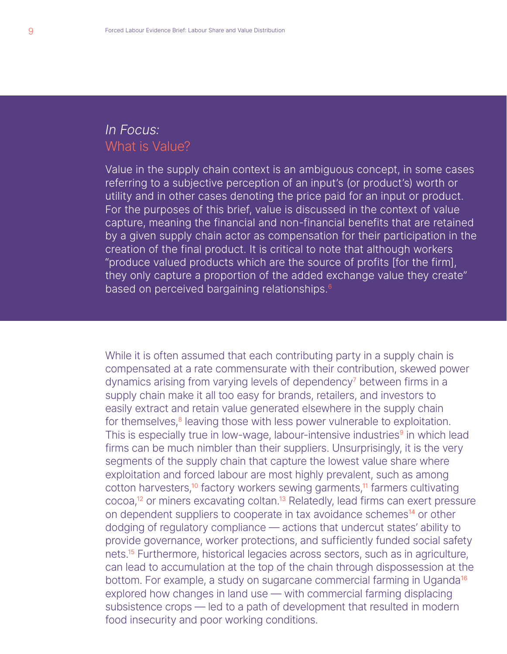## *In Focus:* What is Value?

Value in the supply chain context is an ambiguous concept, in some cases referring to a subjective perception of an input's (or product's) worth or utility and in other cases denoting the price paid for an input or product. For the purposes of this brief, value is discussed in the context of value capture, meaning the financial and non-financial benefits that are retained by a given supply chain actor as compensation for their participation in the creation of the final product. It is critical to note that although workers "produce valued products which are the source of profits [for the firm], they only capture a proportion of the added exchange value they create" based on perceived bargaining relationships.<sup>6</sup>

While it is often assumed that each contributing party in a supply chain is compensated at a rate commensurate with their contribution, skewed power dynamics arising from varying levels of dependency<sup>7</sup> between firms in a supply chain make it all too easy for brands, retailers, and investors to easily extract and retain value generated elsewhere in the supply chain for themselves,<sup>8</sup> leaving those with less power vulnerable to exploitation. This is especially true in low-wage, labour-intensive industries<sup>9</sup> in which lead firms can be much nimbler than their suppliers. Unsurprisingly, it is the very segments of the supply chain that capture the lowest value share where exploitation and forced labour are most highly prevalent, such as among cotton harvesters,<sup>10</sup> factory workers sewing garments,<sup>11</sup> farmers cultivating cocoa,<sup>12</sup> or miners excavating coltan.<sup>13</sup> Relatedly, lead firms can exert pressure on dependent suppliers to cooperate in tax avoidance schemes<sup>14</sup> or other dodging of regulatory compliance — actions that undercut states' ability to provide governance, worker protections, and sufficiently funded social safety nets.<sup>15</sup> Furthermore, historical legacies across sectors, such as in agriculture, can lead to accumulation at the top of the chain through dispossession at the bottom. For example, a study on sugarcane commercial farming in Uganda<sup>16</sup> explored how changes in land use — with commercial farming displacing subsistence crops — led to a path of development that resulted in modern food insecurity and poor working conditions.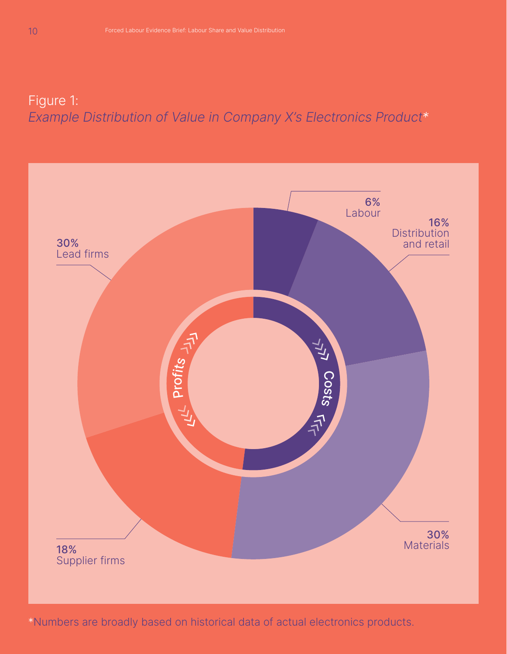## Figure 1: *Example Distribution of Value in Company X's Electronics Product\**



\*Numbers are broadly based on historical data of actual electronics products.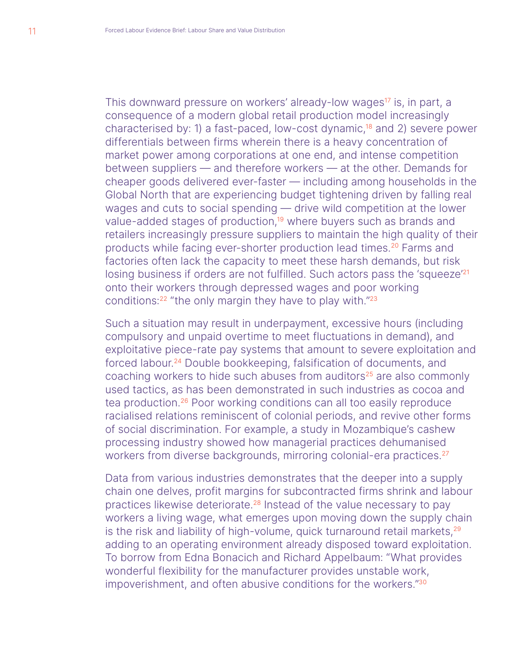This downward pressure on workers' already-low wages<sup>17</sup> is, in part, a consequence of a modern global retail production model increasingly characterised by: 1) a fast-paced, low-cost dynamic,<sup>18</sup> and 2) severe power differentials between firms wherein there is a heavy concentration of market power among corporations at one end, and intense competition between suppliers — and therefore workers — at the other. Demands for cheaper goods delivered ever-faster — including among households in the Global North that are experiencing budget tightening driven by falling real wages and cuts to social spending — drive wild competition at the lower value-added stages of production,<sup>19</sup> where buyers such as brands and retailers increasingly pressure suppliers to maintain the high quality of their products while facing ever-shorter production lead times.<sup>20</sup> Farms and factories often lack the capacity to meet these harsh demands, but risk losing business if orders are not fulfilled. Such actors pass the 'squeeze'<sup>21</sup> onto their workers through depressed wages and poor working conditions:<sup>22</sup> "the only margin they have to play with."<sup>23</sup>

Such a situation may result in underpayment, excessive hours (including compulsory and unpaid overtime to meet fluctuations in demand), and exploitative piece-rate pay systems that amount to severe exploitation and forced labour.<sup>24</sup> Double bookkeeping, falsification of documents, and coaching workers to hide such abuses from auditors<sup>25</sup> are also commonly used tactics, as has been demonstrated in such industries as cocoa and tea production.<sup>26</sup> Poor working conditions can all too easily reproduce racialised relations reminiscent of colonial periods, and revive other forms of social discrimination. For example, a study in Mozambique's cashew processing industry showed how managerial practices dehumanised workers from diverse backgrounds, mirroring colonial-era practices.<sup>27</sup>

Data from various industries demonstrates that the deeper into a supply chain one delves, profit margins for subcontracted firms shrink and labour practices likewise deteriorate.<sup>28</sup> Instead of the value necessary to pay workers a living wage, what emerges upon moving down the supply chain is the risk and liability of high-volume, quick turnaround retail markets,<sup>29</sup> adding to an operating environment already disposed toward exploitation. To borrow from Edna Bonacich and Richard Appelbaum: "What provides wonderful flexibility for the manufacturer provides unstable work, impoverishment, and often abusive conditions for the workers."30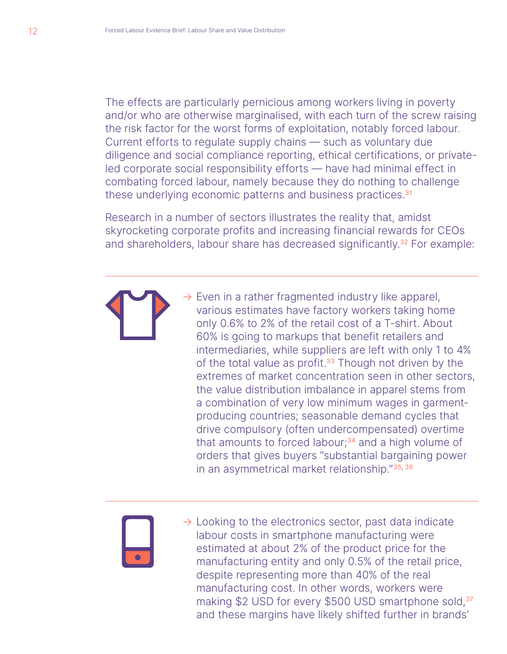The effects are particularly pernicious among workers living in poverty and/or who are otherwise marginalised, with each turn of the screw raising the risk factor for the worst forms of exploitation, notably forced labour. Current efforts to regulate supply chains — such as voluntary due diligence and social compliance reporting, ethical certifications, or privateled corporate social responsibility efforts — have had minimal effect in combating forced labour, namely because they do nothing to challenge these underlying economic patterns and business practices.<sup>31</sup>

Research in a number of sectors illustrates the reality that, amidst skyrocketing corporate profits and increasing financial rewards for CEOs and shareholders, labour share has decreased significantly.<sup>32</sup> For example:



 $\rightarrow$  Even in a rather fragmented industry like apparel, various estimates have factory workers taking home only 0.6% to 2% of the retail cost of a T-shirt. About 60% is going to markups that benefit retailers and intermediaries, while suppliers are left with only 1 to 4% of the total value as profit. $33$  Though not driven by the extremes of market concentration seen in other sectors, the value distribution imbalance in apparel stems from a combination of very low minimum wages in garmentproducing countries; seasonable demand cycles that drive compulsory (often undercompensated) overtime that amounts to forced labour; $34$  and a high volume of orders that gives buyers "substantial bargaining power in an asymmetrical market relationship."35, 36



 $\rightarrow$  Looking to the electronics sector, past data indicate labour costs in smartphone manufacturing were estimated at about 2% of the product price for the manufacturing entity and only 0.5% of the retail price, despite representing more than 40% of the real manufacturing cost. In other words, workers were making \$2 USD for every \$500 USD smartphone sold,<sup>37</sup> and these margins have likely shifted further in brands'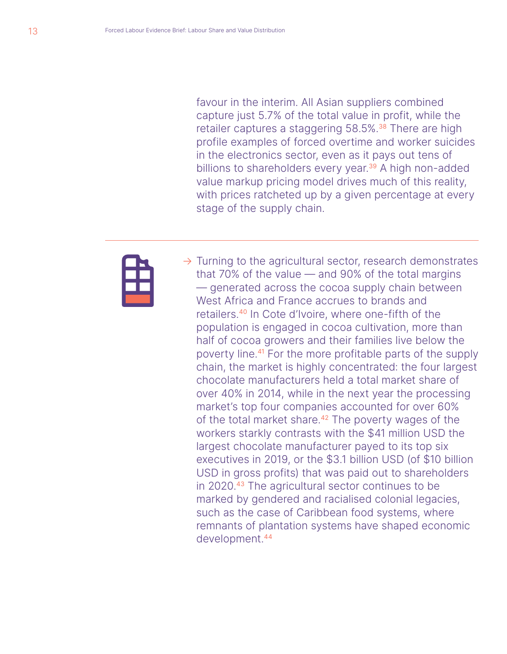favour in the interim. All Asian suppliers combined capture just 5.7% of the total value in profit, while the retailer captures a staggering 58.5%.<sup>38</sup> There are high profile examples of forced overtime and worker suicides in the electronics sector, even as it pays out tens of billions to shareholders every year.<sup>39</sup> A high non-added value markup pricing model drives much of this reality, with prices ratcheted up by a given percentage at every stage of the supply chain.



 $\rightarrow$  Turning to the agricultural sector, research demonstrates that 70% of the value — and 90% of the total margins — generated across the cocoa supply chain between West Africa and France accrues to brands and retailers.<sup>40</sup> In Cote d'Ivoire, where one-fifth of the population is engaged in cocoa cultivation, more than half of cocoa growers and their families live below the poverty line.<sup>41</sup> For the more profitable parts of the supply chain, the market is highly concentrated: the four largest chocolate manufacturers held a total market share of over 40% in 2014, while in the next year the processing market's top four companies accounted for over 60% of the total market share.<sup>42</sup> The poverty wages of the workers starkly contrasts with the \$41 million USD the largest chocolate manufacturer payed to its top six executives in 2019, or the \$3.1 billion USD (of \$10 billion USD in gross profits) that was paid out to shareholders in 2020.<sup>43</sup> The agricultural sector continues to be marked by gendered and racialised colonial legacies, such as the case of Caribbean food systems, where remnants of plantation systems have shaped economic development.<sup>44</sup>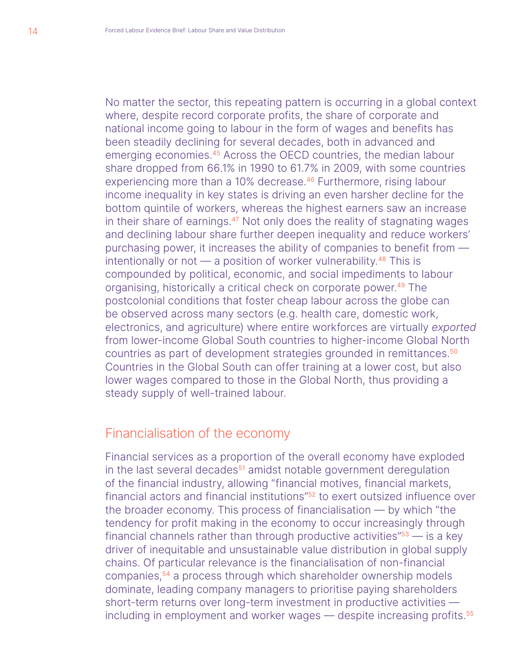No matter the sector, this repeating pattern is occurring in a global context where, despite record corporate profits, the share of corporate and national income going to labour in the form of wages and benefits has been steadily declining for several decades, both in advanced and emerging economies.<sup>45</sup> Across the OECD countries, the median labour share dropped from 66.1% in 1990 to 61.7% in 2009, with some countries experiencing more than a 10% decrease.<sup>46</sup> Furthermore, rising labour income inequality in key states is driving an even harsher decline for the bottom quintile of workers, whereas the highest earners saw an increase in their share of earnings.<sup>47</sup> Not only does the reality of stagnating wages and declining labour share further deepen inequality and reduce workers' purchasing power, it increases the ability of companies to benefit from intentionally or not  $-$  a position of worker vulnerability.<sup>48</sup> This is compounded by political, economic, and social impediments to labour organising, historically a critical check on corporate power.<sup>49</sup> The postcolonial conditions that foster cheap labour across the globe can be observed across many sectors (e.g. health care, domestic work, electronics, and agriculture) where entire workforces are virtually *exported* from lower-income Global South countries to higher-income Global North countries as part of development strategies grounded in remittances.<sup>50</sup> Countries in the Global South can offer training at a lower cost, but also lower wages compared to those in the Global North, thus providing a steady supply of well-trained labour.

## Financialisation of the economy

Financial services as a proportion of the overall economy have exploded in the last several decades<sup>51</sup> amidst notable government deregulation of the financial industry, allowing "financial motives, financial markets, financial actors and financial institutions"<sup>52</sup> to exert outsized influence over the broader economy. This process of financialisation — by which "the tendency for profit making in the economy to occur increasingly through financial channels rather than through productive activities" $53$  — is a key driver of inequitable and unsustainable value distribution in global supply chains. Of particular relevance is the financialisation of non-financial companies,<sup>54</sup> a process through which shareholder ownership models dominate, leading company managers to prioritise paying shareholders short-term returns over long-term investment in productive activities including in employment and worker wages — despite increasing profits.<sup>55</sup>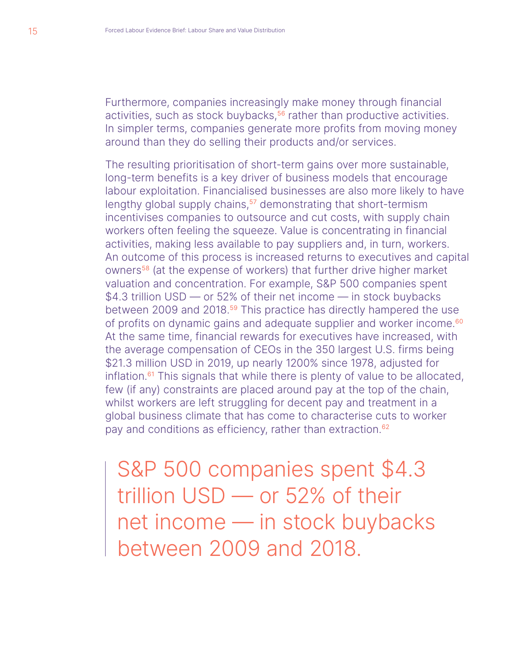Furthermore, companies increasingly make money through financial activities, such as stock buybacks,<sup>56</sup> rather than productive activities. In simpler terms, companies generate more profits from moving money around than they do selling their products and/or services.

The resulting prioritisation of short-term gains over more sustainable, long-term benefits is a key driver of business models that encourage labour exploitation. Financialised businesses are also more likely to have lengthy global supply chains,<sup>57</sup> demonstrating that short-termism incentivises companies to outsource and cut costs, with supply chain workers often feeling the squeeze. Value is concentrating in financial activities, making less available to pay suppliers and, in turn, workers. An outcome of this process is increased returns to executives and capital owners<sup>58</sup> (at the expense of workers) that further drive higher market valuation and concentration. For example, S&P 500 companies spent \$4.3 trillion USD — or 52% of their net income — in stock buybacks between 2009 and 2018.<sup>59</sup> This practice has directly hampered the use of profits on dynamic gains and adequate supplier and worker income.<sup>60</sup> At the same time, financial rewards for executives have increased, with the average compensation of CEOs in the 350 largest U.S. firms being \$21.3 million USD in 2019, up nearly 1200% since 1978, adjusted for inflation. $61$  This signals that while there is plenty of value to be allocated, few (if any) constraints are placed around pay at the top of the chain, whilst workers are left struggling for decent pay and treatment in a global business climate that has come to characterise cuts to worker pay and conditions as efficiency, rather than extraction.<sup>62</sup>

S&P 500 companies spent \$4.3 trillion USD — or 52% of their net income — in stock buybacks between 2009 and 2018.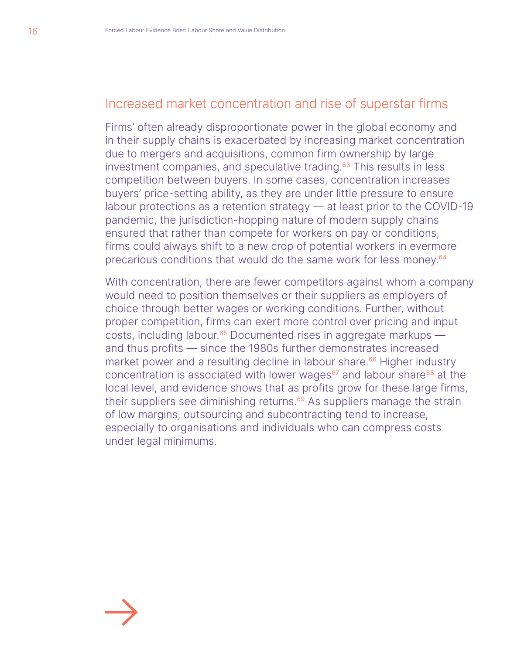## Increased market concentration and rise of superstar firms

Firms' often already disproportionate power in the global economy and in their supply chains is exacerbated by increasing market concentration due to mergers and acquisitions, common firm ownership by large investment companies, and speculative trading.<sup>63</sup> This results in less competition between buyers. In some cases, concentration increases buyers' price-setting ability, as they are under little pressure to ensure labour protections as a retention strategy — at least prior to the COVID-19 pandemic, the jurisdiction-hopping nature of modern supply chains ensured that rather than compete for workers on pay or conditions, firms could always shift to a new crop of potential workers in evermore precarious conditions that would do the same work for less money.<sup>64</sup>

With concentration, there are fewer competitors against whom a company would need to position themselves or their suppliers as employers of choice through better wages or working conditions. Further, without proper competition, firms can exert more control over pricing and input costs, including labour.<sup>65</sup> Documented rises in aggregate markups  $$ and thus profits — since the 1980s further demonstrates increased market power and a resulting decline in labour share.<sup>66</sup> Higher industry concentration is associated with lower wages<sup>67</sup> and labour share<sup>68</sup> at the local level, and evidence shows that as profits grow for these large firms, their suppliers see diminishing returns.<sup>69</sup> As suppliers manage the strain of low margins, outsourcing and subcontracting tend to increase, especially to organisations and individuals who can compress costs under legal minimums.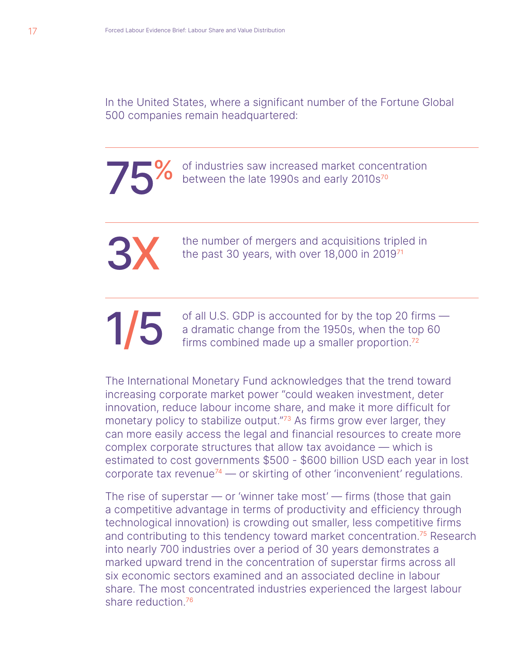In the United States, where a significant number of the Fortune Global 500 companies remain headquartered:

<sup>of</sup> industries saw increased market concentration<br>between the late 1990s and early 2010s<sup>70</sup> between the late 1990s and early 2010s<sup>70</sup>

> the number of mergers and acquisitions tripled in the past 30 years, with over 18,000 in 201971

of all U.S. GDP is accounted for by the top 20 firms –<br>a dramatic change from the 1950s, when the top 60<br>firms combined made up a smaller proportion.<sup>72</sup> a dramatic change from the 1950s, when the top 60 firms combined made up a smaller proportion.<sup>72</sup>

The International Monetary Fund acknowledges that the trend toward increasing corporate market power "could weaken investment, deter innovation, reduce labour income share, and make it more difficult for monetary policy to stabilize output."<sup>73</sup> As firms grow ever larger, they can more easily access the legal and financial resources to create more complex corporate structures that allow tax avoidance — which is estimated to cost governments \$500 - \$600 billion USD each year in lost corporate tax revenue<sup>74</sup> — or skirting of other 'inconvenient' regulations.

The rise of superstar  $-$  or 'winner take most'  $-$  firms (those that gain a competitive advantage in terms of productivity and efficiency through technological innovation) is crowding out smaller, less competitive firms and contributing to this tendency toward market concentration.<sup>75</sup> Research into nearly 700 industries over a period of 30 years demonstrates a marked upward trend in the concentration of superstar firms across all six economic sectors examined and an associated decline in labour share. The most concentrated industries experienced the largest labour share reduction.76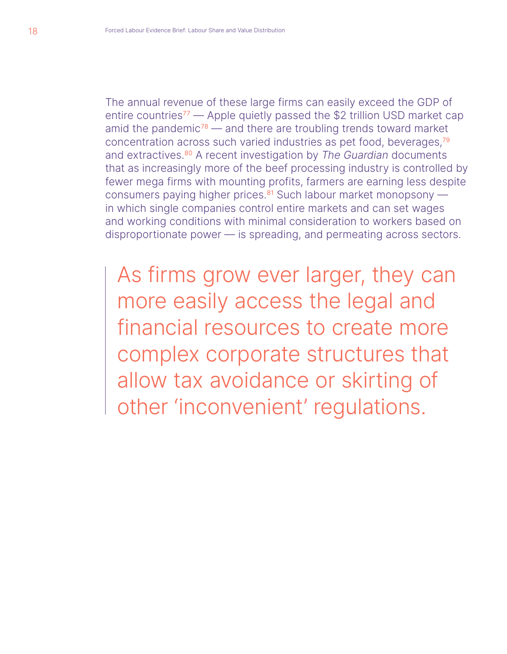The annual revenue of these large firms can easily exceed the GDP of entire countries<sup>77</sup> — Apple quietly passed the \$2 trillion USD market cap amid the pandemic<sup>78</sup> — and there are troubling trends toward market concentration across such varied industries as pet food, beverages,<sup>79</sup> and extractives.<sup>80</sup> A recent investigation by *The Guardian* documents that as increasingly more of the beef processing industry is controlled by fewer mega firms with mounting profits, farmers are earning less despite consumers paying higher prices. $81$  Such labour market monopsony  $$ in which single companies control entire markets and can set wages and working conditions with minimal consideration to workers based on disproportionate power — is spreading, and permeating across sectors.

As firms grow ever larger, they can more easily access the legal and financial resources to create more complex corporate structures that allow tax avoidance or skirting of other 'inconvenient' regulations.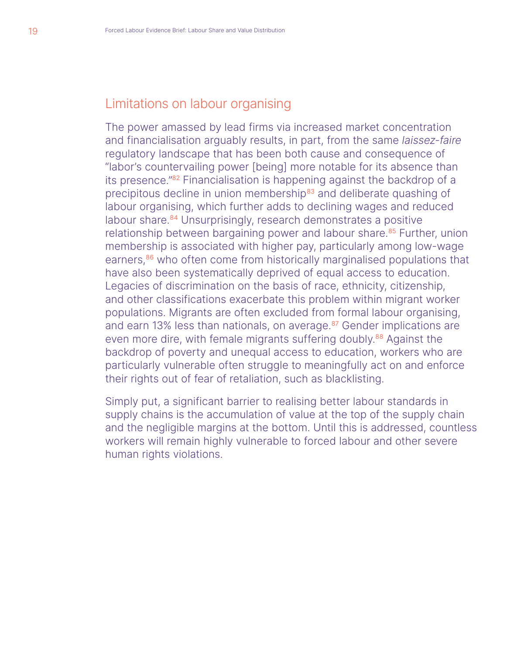## Limitations on labour organising

The power amassed by lead firms via increased market concentration and financialisation arguably results, in part, from the same *laissez-faire* regulatory landscape that has been both cause and consequence of "labor's countervailing power [being] more notable for its absence than its presence."<sup>82</sup> Financialisation is happening against the backdrop of a precipitous decline in union membership<sup>83</sup> and deliberate quashing of labour organising, which further adds to declining wages and reduced labour share.<sup>84</sup> Unsurprisingly, research demonstrates a positive relationship between bargaining power and labour share.<sup>85</sup> Further, union membership is associated with higher pay, particularly among low-wage earners,<sup>86</sup> who often come from historically marginalised populations that have also been systematically deprived of equal access to education. Legacies of discrimination on the basis of race, ethnicity, citizenship, and other classifications exacerbate this problem within migrant worker populations. Migrants are often excluded from formal labour organising, and earn 13% less than nationals, on average.<sup>87</sup> Gender implications are even more dire, with female migrants suffering doubly.<sup>88</sup> Against the backdrop of poverty and unequal access to education, workers who are particularly vulnerable often struggle to meaningfully act on and enforce their rights out of fear of retaliation, such as blacklisting.

Simply put, a significant barrier to realising better labour standards in supply chains is the accumulation of value at the top of the supply chain and the negligible margins at the bottom. Until this is addressed, countless workers will remain highly vulnerable to forced labour and other severe human rights violations.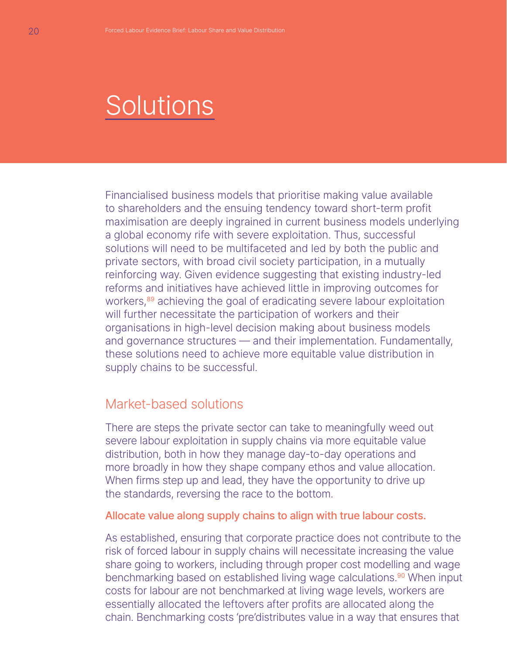# **Solutions**

Financialised business models that prioritise making value available to shareholders and the ensuing tendency toward short-term profit maximisation are deeply ingrained in current business models underlying a global economy rife with severe exploitation. Thus, successful solutions will need to be multifaceted and led by both the public and private sectors, with broad civil society participation, in a mutually reinforcing way. Given evidence suggesting that existing industry-led reforms and initiatives have achieved little in improving outcomes for workers,<sup>89</sup> achieving the goal of eradicating severe labour exploitation will further necessitate the participation of workers and their organisations in high-level decision making about business models and governance structures — and their implementation. Fundamentally, these solutions need to achieve more equitable value distribution in supply chains to be successful.

#### Market-based solutions

There are steps the private sector can take to meaningfully weed out severe labour exploitation in supply chains via more equitable value distribution, both in how they manage day-to-day operations and more broadly in how they shape company ethos and value allocation. When firms step up and lead, they have the opportunity to drive up the standards, reversing the race to the bottom.

#### Allocate value along supply chains to align with true labour costs.

As established, ensuring that corporate practice does not contribute to the risk of forced labour in supply chains will necessitate increasing the value share going to workers, including through proper cost modelling and wage benchmarking based on established living wage calculations.<sup>90</sup> When input costs for labour are not benchmarked at living wage levels, workers are essentially allocated the leftovers after profits are allocated along the chain. Benchmarking costs 'pre'distributes value in a way that ensures that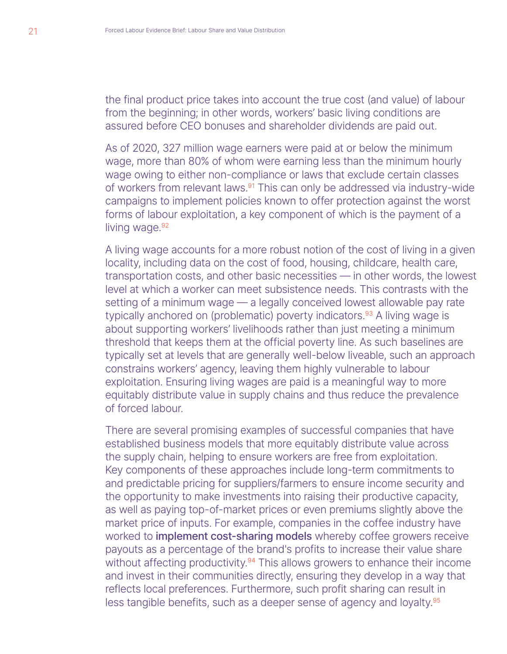the final product price takes into account the true cost (and value) of labour from the beginning; in other words, workers' basic living conditions are assured before CEO bonuses and shareholder dividends are paid out.

As of 2020, 327 million wage earners were paid at or below the minimum wage, more than 80% of whom were earning less than the minimum hourly wage owing to either non-compliance or laws that exclude certain classes of workers from relevant laws.<sup>91</sup> This can only be addressed via industry-wide campaigns to implement policies known to offer protection against the worst forms of labour exploitation, a key component of which is the payment of a living wage.<sup>92</sup>

A living wage accounts for a more robust notion of the cost of living in a given locality, including data on the cost of food, housing, childcare, health care, transportation costs, and other basic necessities — in other words, the lowest level at which a worker can meet subsistence needs. This contrasts with the setting of a minimum wage — a legally conceived lowest allowable pay rate typically anchored on (problematic) poverty indicators.<sup>93</sup> A living wage is about supporting workers' livelihoods rather than just meeting a minimum threshold that keeps them at the official poverty line. As such baselines are typically set at levels that are generally well-below liveable, such an approach constrains workers' agency, leaving them highly vulnerable to labour exploitation. Ensuring living wages are paid is a meaningful way to more equitably distribute value in supply chains and thus reduce the prevalence of forced labour.

There are several promising examples of successful companies that have established business models that more equitably distribute value across the supply chain, helping to ensure workers are free from exploitation. Key components of these approaches include long-term commitments to and predictable pricing for suppliers/farmers to ensure income security and the opportunity to make investments into raising their productive capacity, as well as paying top-of-market prices or even premiums slightly above the market price of inputs. For example, companies in the coffee industry have worked to implement cost-sharing models whereby coffee growers receive payouts as a percentage of the brand's profits to increase their value share without affecting productivity.<sup>94</sup> This allows growers to enhance their income and invest in their communities directly, ensuring they develop in a way that reflects local preferences. Furthermore, such profit sharing can result in less tangible benefits, such as a deeper sense of agency and loyalty.<sup>95</sup>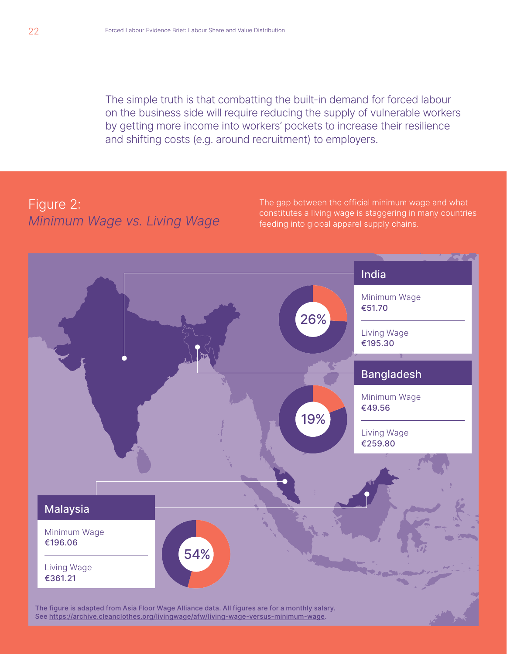The simple truth is that combatting the built-in demand for forced labour on the business side will require reducing the supply of vulnerable workers by getting more income into workers' pockets to increase their resilience and shifting costs (e.g. around recruitment) to employers.

## Figure 2: *Minimum Wage vs. Living Wage*

The gap between the official minimum wage and what constitutes a living wage is staggering in many countries feeding into global apparel supply chains.

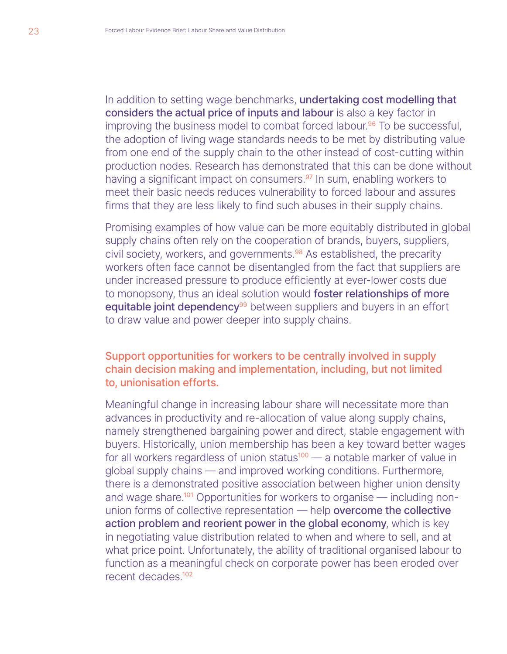In addition to setting wage benchmarks, undertaking cost modelling that considers the actual price of inputs and labour is also a key factor in improving the business model to combat forced labour.<sup>96</sup> To be successful, the adoption of living wage standards needs to be met by distributing value from one end of the supply chain to the other instead of cost-cutting within production nodes. Research has demonstrated that this can be done without having a significant impact on consumers.<sup>97</sup> In sum, enabling workers to meet their basic needs reduces vulnerability to forced labour and assures firms that they are less likely to find such abuses in their supply chains.

Promising examples of how value can be more equitably distributed in global supply chains often rely on the cooperation of brands, buyers, suppliers, civil society, workers, and governments.<sup>98</sup> As established, the precarity workers often face cannot be disentangled from the fact that suppliers are under increased pressure to produce efficiently at ever-lower costs due to monopsony, thus an ideal solution would **foster relationships of more** equitable joint dependency<sup>99</sup> between suppliers and buyers in an effort to draw value and power deeper into supply chains.

#### Support opportunities for workers to be centrally involved in supply chain decision making and implementation, including, but not limited to, unionisation efforts.

Meaningful change in increasing labour share will necessitate more than advances in productivity and re-allocation of value along supply chains, namely strengthened bargaining power and direct, stable engagement with buyers. Historically, union membership has been a key toward better wages for all workers regardless of union status<sup>100</sup> — a notable marker of value in global supply chains — and improved working conditions. Furthermore, there is a demonstrated positive association between higher union density and wage share.<sup>101</sup> Opportunities for workers to organise  $-$  including nonunion forms of collective representation — help overcome the collective action problem and reorient power in the global economy, which is key in negotiating value distribution related to when and where to sell, and at what price point. Unfortunately, the ability of traditional organised labour to function as a meaningful check on corporate power has been eroded over recent decades.<sup>102</sup>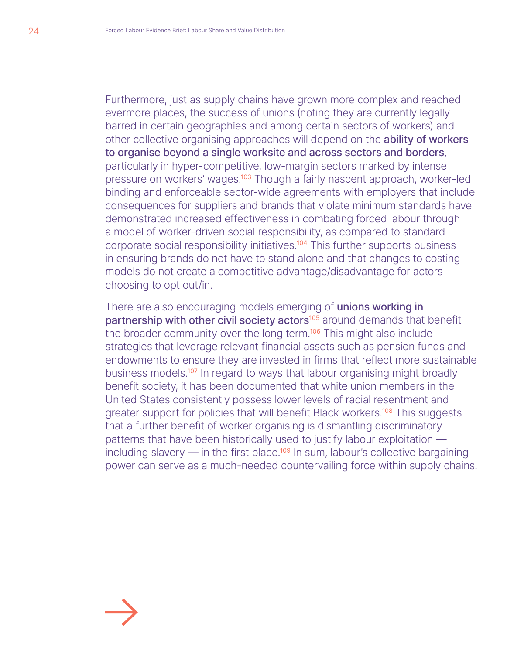Furthermore, just as supply chains have grown more complex and reached evermore places, the success of unions (noting they are currently legally barred in certain geographies and among certain sectors of workers) and other collective organising approaches will depend on the **ability of workers** to organise beyond a single worksite and across sectors and borders, particularly in hyper-competitive, low-margin sectors marked by intense pressure on workers' wages.<sup>103</sup> Though a fairly nascent approach, worker-led binding and enforceable sector-wide agreements with employers that include consequences for suppliers and brands that violate minimum standards have demonstrated increased effectiveness in combating forced labour through a model of worker-driven social responsibility, as compared to standard corporate social responsibility initiatives.<sup>104</sup> This further supports business in ensuring brands do not have to stand alone and that changes to costing models do not create a competitive advantage/disadvantage for actors choosing to opt out/in.

There are also encouraging models emerging of unions working in partnership with other civil society actors<sup>105</sup> around demands that benefit the broader community over the long term.<sup>106</sup> This might also include strategies that leverage relevant financial assets such as pension funds and endowments to ensure they are invested in firms that reflect more sustainable business models.<sup>107</sup> In regard to ways that labour organising might broadly benefit society, it has been documented that white union members in the United States consistently possess lower levels of racial resentment and greater support for policies that will benefit Black workers.<sup>108</sup> This suggests that a further benefit of worker organising is dismantling discriminatory patterns that have been historically used to justify labour exploitation including slavery  $-$  in the first place.<sup>109</sup> In sum, labour's collective bargaining power can serve as a much-needed countervailing force within supply chains.

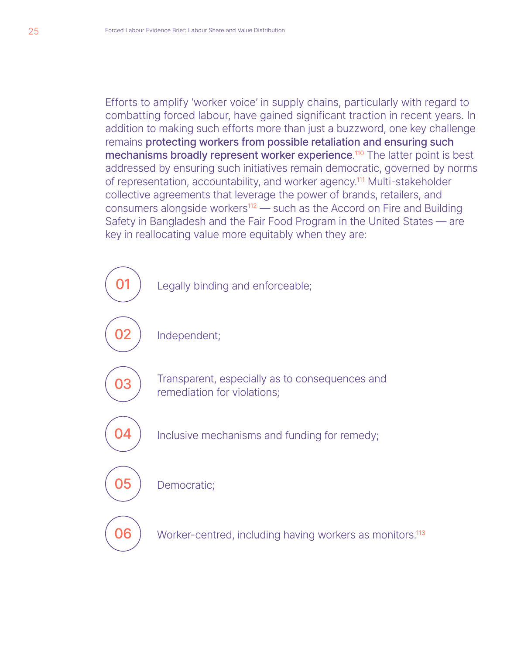Efforts to amplify 'worker voice' in supply chains, particularly with regard to combatting forced labour, have gained significant traction in recent years. In addition to making such efforts more than just a buzzword, one key challenge remains protecting workers from possible retaliation and ensuring such mechanisms broadly represent worker experience.<sup>110</sup> The latter point is best addressed by ensuring such initiatives remain democratic, governed by norms of representation, accountability, and worker agency.<sup>111</sup> Multi-stakeholder collective agreements that leverage the power of brands, retailers, and consumers alongside workers<sup>112</sup> — such as the Accord on Fire and Building Safety in Bangladesh and the Fair Food Program in the United States — are key in reallocating value more equitably when they are:

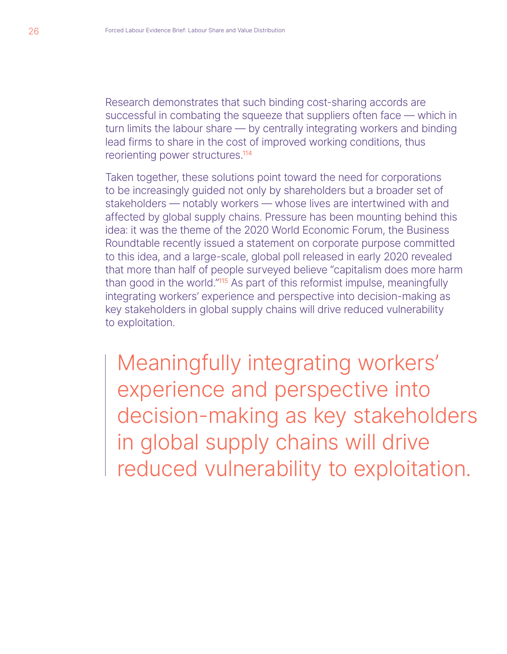Research demonstrates that such binding cost-sharing accords are successful in combating the squeeze that suppliers often face — which in turn limits the labour share — by centrally integrating workers and binding lead firms to share in the cost of improved working conditions, thus reorienting power structures.<sup>114</sup>

Taken together, these solutions point toward the need for corporations to be increasingly guided not only by shareholders but a broader set of stakeholders — notably workers — whose lives are intertwined with and affected by global supply chains. Pressure has been mounting behind this idea: it was the theme of the 2020 World Economic Forum, the Business Roundtable recently issued a statement on corporate purpose committed to this idea, and a large-scale, global poll released in early 2020 revealed that more than half of people surveyed believe "capitalism does more harm than good in the world."<sup>115</sup> As part of this reformist impulse, meaningfully integrating workers' experience and perspective into decision-making as key stakeholders in global supply chains will drive reduced vulnerability to exploitation.

Meaningfully integrating workers' experience and perspective into decision-making as key stakeholders in global supply chains will drive reduced vulnerability to exploitation.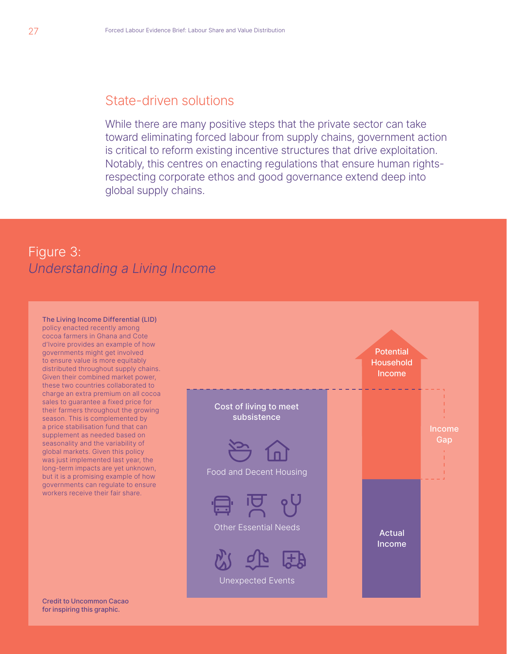#### State-driven solutions

While there are many positive steps that the private sector can take toward eliminating forced labour from supply chains, government action is critical to reform existing incentive structures that drive exploitation. Notably, this centres on enacting regulations that ensure human rightsrespecting corporate ethos and good governance extend deep into global supply chains.

## Figure 3: *Understanding a Living Income*

The Living Income Differential (LID) policy enacted recently among cocoa farmers in Ghana and Cote d'Ivoire provides an example of how governments might get involved to ensure value is more equitably distributed throughout supply chains. Given their combined market power, these two countries collaborated to charge an extra premium on all cocoa sales to guarantee a fixed price for their farmers throughout the growing season. This is complemented by a price stabilisation fund that can supplement as needed based on seasonality and the variability of global markets. Given this policy was just implemented last year, the long-term impacts are yet unknown, but it is a promising example of how governments can regulate to ensure workers receive their fair share.



Credit to Uncommon Cacao for inspiring this graphic.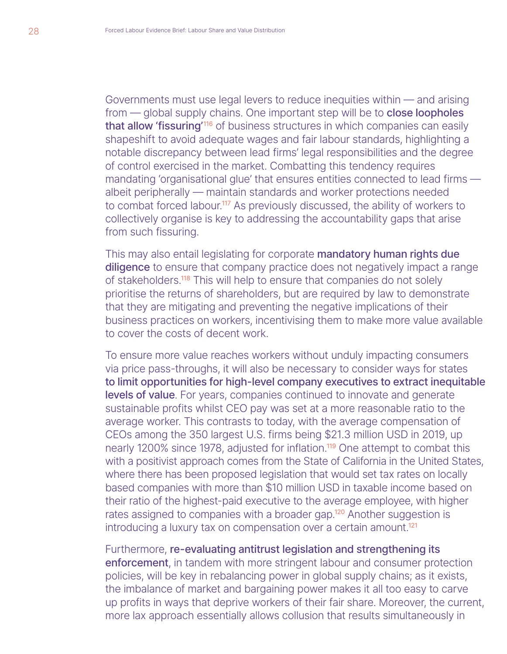Governments must use legal levers to reduce inequities within — and arising from – global supply chains. One important step will be to **close loopholes** that allow 'fissuring'<sup>116</sup> of business structures in which companies can easily shapeshift to avoid adequate wages and fair labour standards, highlighting a notable discrepancy between lead firms' legal responsibilities and the degree of control exercised in the market. Combatting this tendency requires mandating 'organisational glue' that ensures entities connected to lead firms albeit peripherally — maintain standards and worker protections needed to combat forced labour.<sup>117</sup> As previously discussed, the ability of workers to collectively organise is key to addressing the accountability gaps that arise from such fissuring.

This may also entail legislating for corporate mandatory human rights due diligence to ensure that company practice does not negatively impact a range of stakeholders.<sup>118</sup> This will help to ensure that companies do not solely prioritise the returns of shareholders, but are required by law to demonstrate that they are mitigating and preventing the negative implications of their business practices on workers, incentivising them to make more value available to cover the costs of decent work.

To ensure more value reaches workers without unduly impacting consumers via price pass-throughs, it will also be necessary to consider ways for states to limit opportunities for high-level company executives to extract inequitable levels of value. For years, companies continued to innovate and generate sustainable profits whilst CEO pay was set at a more reasonable ratio to the average worker. This contrasts to today, with the average compensation of CEOs among the 350 largest U.S. firms being \$21.3 million USD in 2019, up nearly 1200% since 1978, adjusted for inflation.<sup>119</sup> One attempt to combat this with a positivist approach comes from the State of California in the United States, where there has been proposed legislation that would set tax rates on locally based companies with more than \$10 million USD in taxable income based on their ratio of the highest-paid executive to the average employee, with higher rates assigned to companies with a broader gap.<sup>120</sup> Another suggestion is introducing a luxury tax on compensation over a certain amount.<sup>121</sup>

Furthermore, re-evaluating antitrust legislation and strengthening its enforcement, in tandem with more stringent labour and consumer protection policies, will be key in rebalancing power in global supply chains; as it exists, the imbalance of market and bargaining power makes it all too easy to carve up profits in ways that deprive workers of their fair share. Moreover, the current, more lax approach essentially allows collusion that results simultaneously in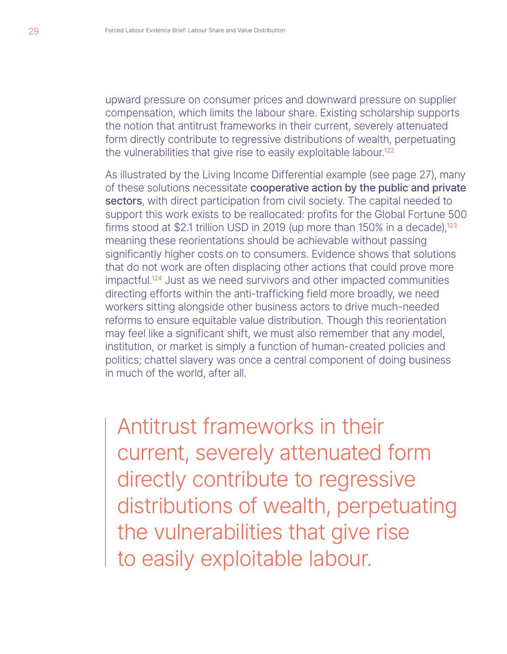upward pressure on consumer prices and downward pressure on supplier compensation, which limits the labour share. Existing scholarship supports the notion that antitrust frameworks in their current, severely attenuated form directly contribute to regressive distributions of wealth, perpetuating the vulnerabilities that give rise to easily exploitable labour.<sup>122</sup>

As illustrated by the Living Income Differential example (see page 27), many of these solutions necessitate cooperative action by the public and private sectors, with direct participation from civil society. The capital needed to support this work exists to be reallocated: profits for the Global Fortune 500 firms stood at \$2.1 trillion USD in 2019 (up more than 150% in a decade),<sup>123</sup> meaning these reorientations should be achievable without passing significantly higher costs on to consumers. Evidence shows that solutions that do not work are often displacing other actions that could prove more impactful.<sup>124</sup> Just as we need survivors and other impacted communities directing efforts within the anti-trafficking field more broadly, we need workers sitting alongside other business actors to drive much-needed reforms to ensure equitable value distribution. Though this reorientation may feel like a significant shift, we must also remember that any model, institution, or market is simply a function of human-created policies and politics; chattel slavery was once a central component of doing business in much of the world, after all.

Antitrust frameworks in their current, severely attenuated form directly contribute to regressive distributions of wealth, perpetuating the vulnerabilities that give rise to easily exploitable labour.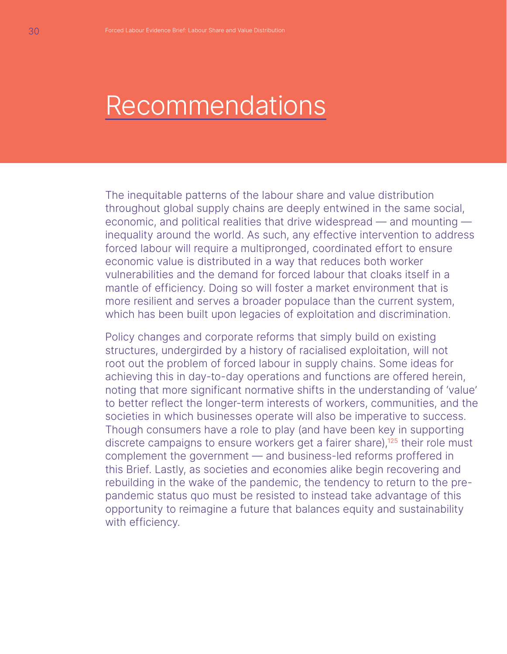# Recommendations

The inequitable patterns of the labour share and value distribution throughout global supply chains are deeply entwined in the same social, economic, and political realities that drive widespread — and mounting inequality around the world. As such, any effective intervention to address forced labour will require a multipronged, coordinated effort to ensure economic value is distributed in a way that reduces both worker vulnerabilities and the demand for forced labour that cloaks itself in a mantle of efficiency. Doing so will foster a market environment that is more resilient and serves a broader populace than the current system, which has been built upon legacies of exploitation and discrimination.

Policy changes and corporate reforms that simply build on existing structures, undergirded by a history of racialised exploitation, will not root out the problem of forced labour in supply chains. Some ideas for achieving this in day-to-day operations and functions are offered herein, noting that more significant normative shifts in the understanding of 'value' to better reflect the longer-term interests of workers, communities, and the societies in which businesses operate will also be imperative to success. Though consumers have a role to play (and have been key in supporting discrete campaigns to ensure workers get a fairer share),<sup>125</sup> their role must complement the government — and business-led reforms proffered in this Brief. Lastly, as societies and economies alike begin recovering and rebuilding in the wake of the pandemic, the tendency to return to the prepandemic status quo must be resisted to instead take advantage of this opportunity to reimagine a future that balances equity and sustainability with efficiency.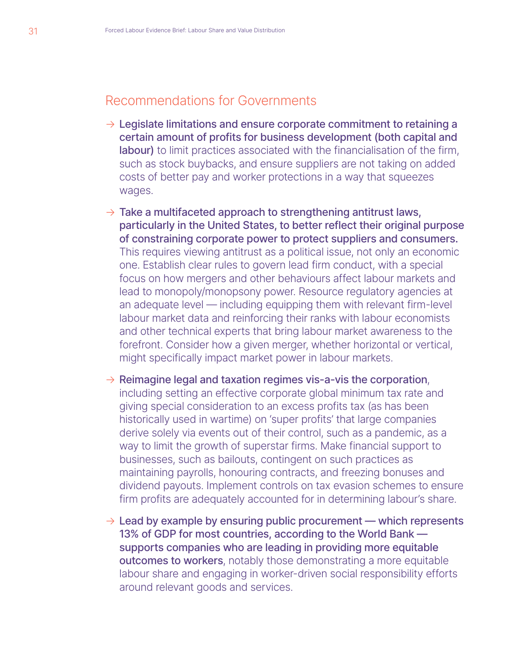## Recommendations for Governments

- $\rightarrow$  Legislate limitations and ensure corporate commitment to retaining a certain amount of profits for business development (both capital and labour) to limit practices associated with the financialisation of the firm, such as stock buybacks, and ensure suppliers are not taking on added costs of better pay and worker protections in a way that squeezes wages.
- $\rightarrow$  Take a multifaceted approach to strengthening antitrust laws, particularly in the United States, to better reflect their original purpose of constraining corporate power to protect suppliers and consumers. This requires viewing antitrust as a political issue, not only an economic one. Establish clear rules to govern lead firm conduct, with a special focus on how mergers and other behaviours affect labour markets and lead to monopoly/monopsony power. Resource regulatory agencies at an adequate level — including equipping them with relevant firm-level labour market data and reinforcing their ranks with labour economists and other technical experts that bring labour market awareness to the forefront. Consider how a given merger, whether horizontal or vertical, might specifically impact market power in labour markets.
- $\rightarrow$  Reimagine legal and taxation regimes vis-a-vis the corporation, including setting an effective corporate global minimum tax rate and giving special consideration to an excess profits tax (as has been historically used in wartime) on 'super profits' that large companies derive solely via events out of their control, such as a pandemic, as a way to limit the growth of superstar firms. Make financial support to businesses, such as bailouts, contingent on such practices as maintaining payrolls, honouring contracts, and freezing bonuses and dividend payouts. Implement controls on tax evasion schemes to ensure firm profits are adequately accounted for in determining labour's share.
- $\rightarrow$  Lead by example by ensuring public procurement which represents 13% of GDP for most countries, according to the World Bank supports companies who are leading in providing more equitable outcomes to workers, notably those demonstrating a more equitable labour share and engaging in worker-driven social responsibility efforts around relevant goods and services.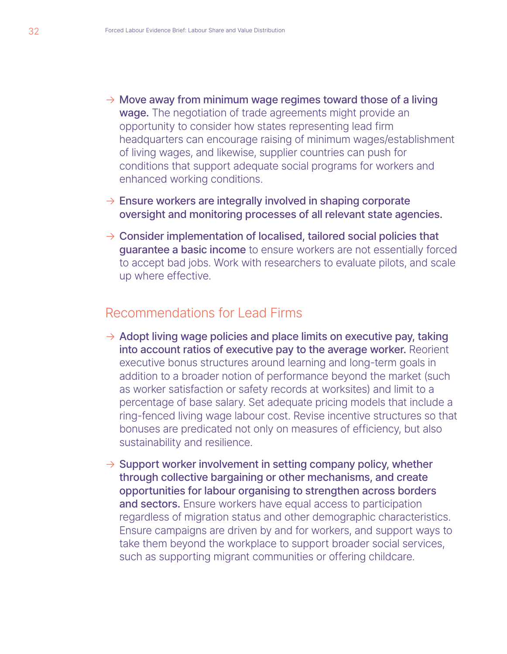- $\rightarrow$  Move away from minimum wage regimes toward those of a living wage. The negotiation of trade agreements might provide an opportunity to consider how states representing lead firm headquarters can encourage raising of minimum wages/establishment of living wages, and likewise, supplier countries can push for conditions that support adequate social programs for workers and enhanced working conditions.
- $\rightarrow$  Ensure workers are integrally involved in shaping corporate oversight and monitoring processes of all relevant state agencies.
- $\rightarrow$  Consider implementation of localised, tailored social policies that guarantee a basic income to ensure workers are not essentially forced to accept bad jobs. Work with researchers to evaluate pilots, and scale up where effective.

### Recommendations for Lead Firms

- $\rightarrow$  Adopt living wage policies and place limits on executive pay, taking into account ratios of executive pay to the average worker. Reorient executive bonus structures around learning and long-term goals in addition to a broader notion of performance beyond the market (such as worker satisfaction or safety records at worksites) and limit to a percentage of base salary. Set adequate pricing models that include a ring-fenced living wage labour cost. Revise incentive structures so that bonuses are predicated not only on measures of efficiency, but also sustainability and resilience.
- $\rightarrow$  Support worker involvement in setting company policy, whether through collective bargaining or other mechanisms, and create opportunities for labour organising to strengthen across borders and sectors. Ensure workers have equal access to participation regardless of migration status and other demographic characteristics. Ensure campaigns are driven by and for workers, and support ways to take them beyond the workplace to support broader social services, such as supporting migrant communities or offering childcare.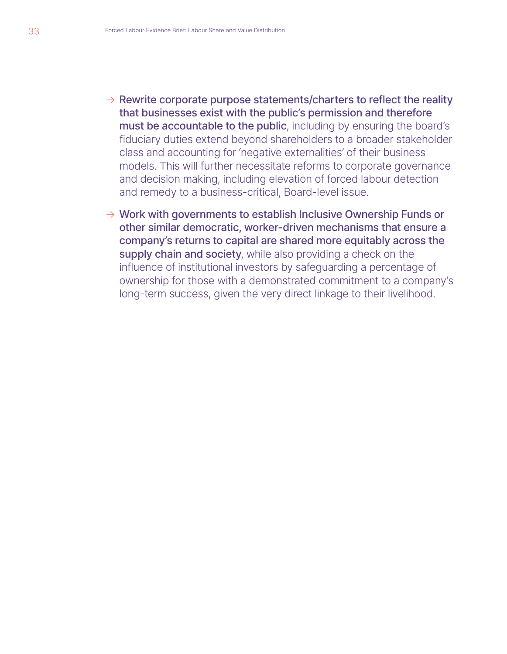- $\rightarrow$  Rewrite corporate purpose statements/charters to reflect the reality that businesses exist with the public's permission and therefore must be accountable to the public, including by ensuring the board's fiduciary duties extend beyond shareholders to a broader stakeholder class and accounting for 'negative externalities' of their business models. This will further necessitate reforms to corporate governance and decision making, including elevation of forced labour detection and remedy to a business-critical, Board-level issue.
- $\rightarrow$  Work with governments to establish Inclusive Ownership Funds or other similar democratic, worker-driven mechanisms that ensure a company's returns to capital are shared more equitably across the supply chain and society, while also providing a check on the influence of institutional investors by safeguarding a percentage of ownership for those with a demonstrated commitment to a company's long-term success, given the very direct linkage to their livelihood.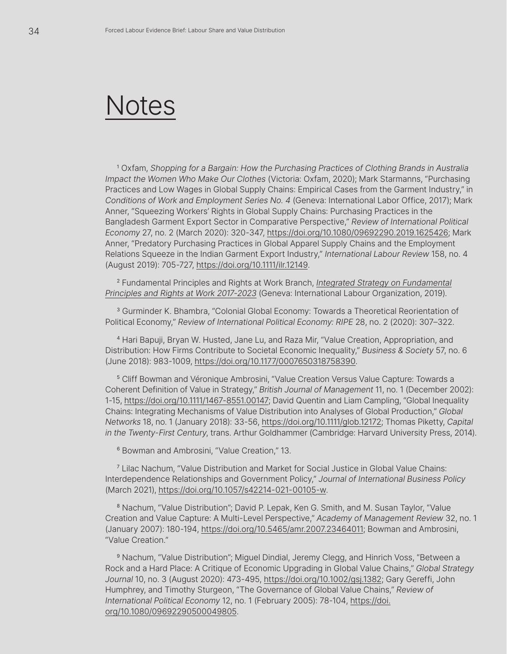# Notes

<sup>1</sup> Oxfam, Shopping for a Bargain: How the Purchasing Practices of Clothing Brands in Australia *Impact the Women Who Make Our Clothes* (Victoria: Oxfam, 2020); Mark Starmanns, "Purchasing Practices and Low Wages in Global Supply Chains: Empirical Cases from the Garment Industry," in *Conditions of Work and Employment Series No. 4* (Geneva: International Labor Office, 2017); Mark Anner, "Squeezing Workers' Rights in Global Supply Chains: Purchasing Practices in the Bangladesh Garment Export Sector in Comparative Perspective," *Review of International Political Economy* 27, no. 2 (March 2020): 320-347, [https://doi.org/10.1080/09692290.2019.1625426](https://www.tandfonline.com/doi/full/10.1080/09692290.2019.1625426); Mark Anner, "Predatory Purchasing Practices in Global Apparel Supply Chains and the Employment Relations Squeeze in the Indian Garment Export Industry," *International Labour Review* 158, no. 4 (August 2019): 705-727, [https://doi.org/10.1111/ilr.12149.](https://onlinelibrary.wiley.com/doi/10.1111/ilr.12149)

<sup>2</sup> Fundamental Principles and Rights at Work Branch, *[Integrated Strategy on Fundamental](https://www.ilo.org/wcmsp5/groups/public/@ed_norm/@ipec/documents/publication/wcms_648801.pdf) [Principles and Rights at Work 2017-2023](https://www.ilo.org/wcmsp5/groups/public/@ed_norm/@ipec/documents/publication/wcms_648801.pdf)* (Geneva: International Labour Organization, 2019).

<sup>3</sup> Gurminder K. Bhambra, "Colonial Global Economy: Towards a Theoretical Reorientation of Political Economy," *Review of International Political Economy: RIPE* 28, no. 2 (2020): 307–322.

<sup>4</sup> Hari Bapuji, Bryan W. Husted, Jane Lu, and Raza Mir, "Value Creation, Appropriation, and Distribution: How Firms Contribute to Societal Economic Inequality," *Business & Society* 57, no. 6 (June 2018): 983-1009, [https://doi.org/10.1177/0007650318758390](https://journals.sagepub.com/doi/10.1177/0007650318758390).

<sup>5</sup> Cliff Bowman and Véronique Ambrosini, "Value Creation Versus Value Capture: Towards a Coherent Definition of Value in Strategy," *British Journal of Management* 11, no. 1 (December 2002): 1-15, [https://doi.org/10.1111/1467-8551.00147](https://onlinelibrary.wiley.com/doi/10.1111/1467-8551.00147); David Quentin and Liam Campling, "Global Inequality Chains: Integrating Mechanisms of Value Distribution into Analyses of Global Production," *Global Networks* 18, no. 1 (January 2018): 33-56, [https://doi.org/10.1111/glob.12172;](https://onlinelibrary.wiley.com/doi/10.1111/glob.12172) Thomas Piketty, *Capital in the Twenty-First Century*, trans. Arthur Goldhammer (Cambridge: Harvard University Press, 2014).

<sup>6</sup> Bowman and Ambrosini, "Value Creation," 13.

7 Lilac Nachum, "Value Distribution and Market for Social Justice in Global Value Chains: Interdependence Relationships and Government Policy," *Journal of International Business Policy* (March 2021), [https://doi.org/10.1057/s42214-021-00105-w.](https://link.springer.com/article/10.1057%2Fs42214-021-00105-w)

<sup>8</sup> Nachum, "Value Distribution"; David P. Lepak, Ken G. Smith, and M. Susan Taylor, "Value Creation and Value Capture: A Multi-Level Perspective," *Academy of Management Review* 32, no. 1 (January 2007): 180-194, [https://doi.org/10.5465/amr.2007.23464011;](https://journals.aom.org/doi/10.5465/amr.2007.23464011) Bowman and Ambrosini, "Value Creation."

<sup>9</sup> Nachum, "Value Distribution"; Miguel Dindial, Jeremy Clegg, and Hinrich Voss, "Between a Rock and a Hard Place: A Critique of Economic Upgrading in Global Value Chains," *Global Strategy Journal* 10, no. 3 (August 2020): 473-495, [https://doi.org/10.1002/gsj.1382;](https://onlinelibrary.wiley.com/doi/10.1002/gsj.1382) Gary Gereffi, John Humphrey, and Timothy Sturgeon, "The Governance of Global Value Chains," *Review of International Political Economy* 12, no. 1 (February 2005): 78-104, [https://doi.](https://www.tandfonline.com/doi/abs/10.1080/09692290500049805) [org/10.1080/09692290500049805](https://www.tandfonline.com/doi/abs/10.1080/09692290500049805).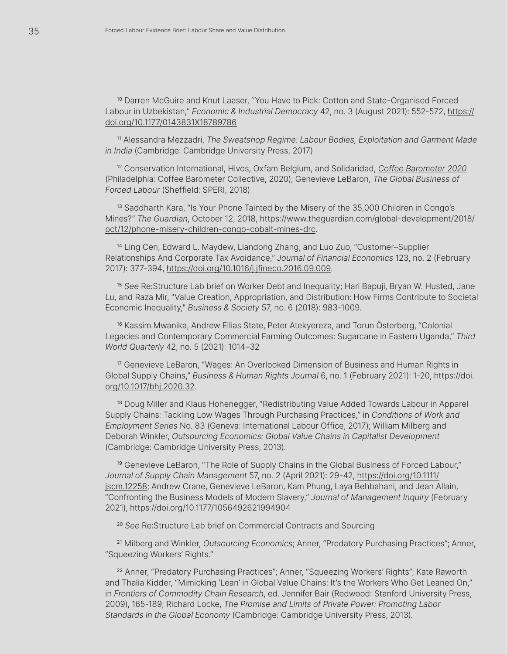<sup>10</sup> Darren McGuire and Knut Laaser, "You Have to Pick: Cotton and State-Organised Forced Labour in Uzbekistan," *Economic & Industrial Democracy* 42, no. 3 (August 2021): 552-572, [https://](https://journals.sagepub.com/doi/10.1177/0143831X18789786) [doi.org/10.1177/0143831X18789786](https://journals.sagepub.com/doi/10.1177/0143831X18789786)

<sup>11</sup> Alessandra Mezzadri, *The Sweatshop Regime: Labour Bodies, Exploitation and Garment Made in India* (Cambridge: Cambridge University Press, 2017)

<sup>12</sup> Conservation International, Hivos, Oxfam Belgium, and Solidaridad, *[Coffee Barometer 2020](https://coffeebarometer.org/)* (Philadelphia: Coffee Barometer Collective, 2020); Genevieve LeBaron, *The Global Business of Forced Labour* (Sheffield: SPERI, 2018)

<sup>13</sup> Saddharth Kara, "Is Your Phone Tainted by the Misery of the 35,000 Children in Congo's Mines?" *The Guardian*, October 12, 2018, [https://www.theguardian.com/global-development/2018/](https://www.theguardian.com/global-development/2018/oct/12/phone-misery-children-congo-cobalt-mines-drc) [oct/12/phone-misery-children-congo-cobalt-mines-drc](https://www.theguardian.com/global-development/2018/oct/12/phone-misery-children-congo-cobalt-mines-drc).

<sup>14</sup> Ling Cen, Edward L. Maydew, Liandong Zhang, and Luo Zuo, "Customer–Supplier Relationships And Corporate Tax Avoidance," *Journal of Financial Economics* 123, no. 2 (February 2017): 377-394, [https://doi.org/10.1016/j.jfineco.2016.09.009.](https://www.sciencedirect.com/science/article/abs/pii/S0304405X16301763?via%3Dihub)

<sup>15</sup> *See* Re:Structure Lab brief on Worker Debt and Inequality; Hari Bapuji, Bryan W. Husted, Jane Lu, and Raza Mir, "Value Creation, Appropriation, and Distribution: How Firms Contribute to Societal Economic Inequality," *Business & Society* 57, no. 6 (2018): 983-1009.

<sup>16</sup> Kassim Mwanika, Andrew Ellias State, Peter Atekyereza, and Torun Österberg, "Colonial Legacies and Contemporary Commercial Farming Outcomes: Sugarcane in Eastern Uganda," *Third World Quarterly* 42, no. 5 (2021): 1014–32

<sup>17</sup> Genevieve LeBaron, "Wages: An Overlooked Dimension of Business and Human Rights in Global Supply Chains," *Business & Human Rights Journal* 6, no. 1 (February 2021): 1-20, [https://doi.](https://www.cambridge.org/core/journals/business-and-human-rights-journal/article/abs/wages-an-overlooked-dimension-of-business-and-human-rights-in-global-supply-chains/8862C226B58B452AAE43D7F9AC18E80F) [org/10.1017/bhj.2020.32](https://www.cambridge.org/core/journals/business-and-human-rights-journal/article/abs/wages-an-overlooked-dimension-of-business-and-human-rights-in-global-supply-chains/8862C226B58B452AAE43D7F9AC18E80F).

<sup>18</sup> Doug Miller and Klaus Hohenegger, "Redistributing Value Added Towards Labour in Apparel Supply Chains: Tackling Low Wages Through Purchasing Practices," in *Conditions of Work and Employment Series* No. 83 (Geneva: International Labour Office, 2017); William Milberg and Deborah Winkler, *Outsourcing Economics: Global Value Chains in Capitalist Development* (Cambridge: Cambridge University Press, 2013).

<sup>19</sup> Genevieve LeBaron, "The Role of Supply Chains in the Global Business of Forced Labour," *Journal of Supply Chain Management* 57, no. 2 (April 2021): 29-42, [https://doi.org/10.1111/](https://onlinelibrary.wiley.com/doi/10.1111/jscm.12258) [jscm.12258;](https://onlinelibrary.wiley.com/doi/10.1111/jscm.12258) Andrew Crane, Genevieve LeBaron, Kam Phung, Laya Behbahani, and Jean Allain, "Confronting the Business Models of Modern Slavery," *Journal of Management Inquiry* (February 2021), [https://doi.org/10.1177/1056492621994904](https://journals.sagepub.com/doi/10.1177/1056492621994904)

<sup>20</sup> *See* Re:Structure Lab brief on Commercial Contracts and Sourcing

<sup>21</sup> Milberg and Winkler, *Outsourcing Economics*; Anner, "Predatory Purchasing Practices"; Anner, "Squeezing Workers' Rights."

<sup>22</sup> Anner, "Predatory Purchasing Practices"; Anner, "Squeezing Workers' Rights"; Kate Raworth and Thalia Kidder, "Mimicking 'Lean' in Global Value Chains: It's the Workers Who Get Leaned On," in *Frontiers of Commodity Chain Research*, ed. Jennifer Bair (Redwood: Stanford University Press, 2009), 165-189; Richard Locke, *The Promise and Limits of Private Power: Promoting Labor Standards in the Global Economy* (Cambridge: Cambridge University Press, 2013).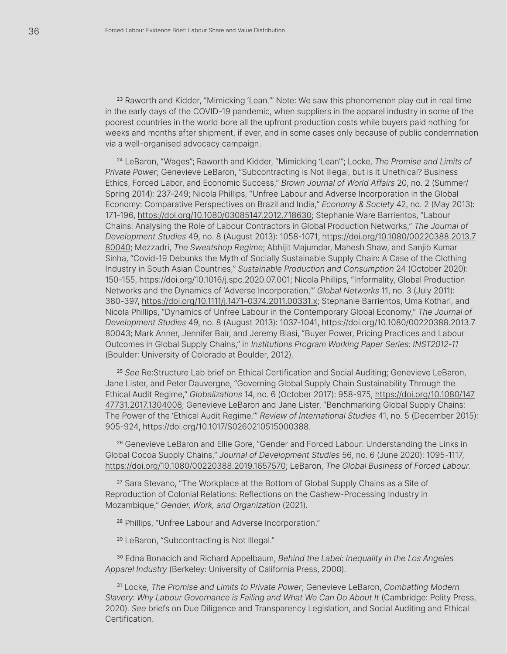<sup>23</sup> Raworth and Kidder, "Mimicking 'Lean."" Note: We saw this phenomenon play out in real time in the early days of the COVID-19 pandemic, when suppliers in the apparel industry in some of the poorest countries in the world bore all the upfront production costs while buyers paid nothing for weeks and months after shipment, if ever, and in some cases only because of public condemnation via a well-organised advocacy campaign.

<sup>24</sup> LeBaron, "Wages"; Raworth and Kidder, "Mimicking 'Lean'"; Locke, *The Promise and Limits of Private Power*; Genevieve LeBaron, "Subcontracting is Not Illegal, but is it Unethical? Business Ethics, Forced Labor, and Economic Success," *Brown Journal of World Affairs* 20, no. 2 (Summer/ Spring 2014): 237-249; Nicola Phillips, "Unfree Labour and Adverse Incorporation in the Global Economy: Comparative Perspectives on Brazil and India," *Economy & Society* 42, no. 2 (May 2013): 171-196, [https://doi.org/10.1080/03085147.2012.718630](https://www.tandfonline.com/doi/abs/10.1080/03085147.2012.718630); Stephanie Ware Barrientos, "Labour Chains: Analysing the Role of Labour Contractors in Global Production Networks," *The Journal of Development Studies* 49, no. 8 (August 2013): 1058-1071, [https://doi.org/10.1080/00220388.2013.7](https://www.tandfonline.com/doi/abs/10.1080/00220388.2013.780040) [80040;](https://www.tandfonline.com/doi/abs/10.1080/00220388.2013.780040) Mezzadri, *The Sweatshop Regime*; Abhijit Majumdar, Mahesh Shaw, and Sanjib Kumar Sinha, "Covid-19 Debunks the Myth of Socially Sustainable Supply Chain: A Case of the Clothing Industry in South Asian Countries," *Sustainable Production and Consumption* 24 (October 2020): 150-155, [https://doi.org/10.1016/j.spc.2020.07.001;](https://www.sciencedirect.com/science/article/pii/S2352550920304139?via%3Dihub) Nicola Phillips, "Informality, Global Production Networks and the Dynamics of 'Adverse Incorporation,'" *Global Networks* 11, no. 3 (July 2011): 380-397, [https://doi.org/10.1111/j.1471-0374.2011.00331.x](https://onlinelibrary.wiley.com/doi/10.1111/j.1471-0374.2011.00331.x); Stephanie Barrientos, Uma Kothari, and Nicola Phillips, "Dynamics of Unfree Labour in the Contemporary Global Economy," *The Journal of Development Studies* 49, no. 8 (August 2013): 1037-1041, [https://doi.org/10.1080/00220388.2013.7](https://www.tandfonline.com/doi/abs/10.1080/00220388.2013.780043) [80043](https://www.tandfonline.com/doi/abs/10.1080/00220388.2013.780043); Mark Anner, Jennifer Bair, and Jeremy Blasi, "Buyer Power, Pricing Practices and Labour Outcomes in Global Supply Chains," in *Institutions Program Working Paper Series: INST2012-11* (Boulder: University of Colorado at Boulder, 2012).

<sup>25</sup> *See* Re:Structure Lab brief on Ethical Certification and Social Auditing; Genevieve LeBaron, Jane Lister, and Peter Dauvergne, "Governing Global Supply Chain Sustainability Through the Ethical Audit Regime," *Globalizations* 14, no. 6 (October 2017): 958-975, [https://doi.org/10.1080/147](https://www.tandfonline.com/doi/full/10.1080/14747731.2017.1304008) [47731.2017.1304008;](https://www.tandfonline.com/doi/full/10.1080/14747731.2017.1304008) Genevieve LeBaron and Jane Lister, "Benchmarking Global Supply Chains: The Power of the 'Ethical Audit Regime,'" *Review of International Studies* 41, no. 5 (December 2015): 905-924, [https://doi.org/10.1017/S0260210515000388.](https://www.cambridge.org/core/journals/review-of-international-studies/article/benchmarking-global-supply-chains-the-power-of-the-ethical-audit-regime/D09353629C19265CF1F136F90DEF5214)

<sup>26</sup> Genevieve LeBaron and Ellie Gore, "Gender and Forced Labour: Understanding the Links in Global Cocoa Supply Chains," *Journal of Development Studies* 56, no. 6 (June 2020): 1095-1117, [https://doi.org/10.1080/00220388.2019.1657570](https://www.tandfonline.com/doi/full/10.1080/00220388.2019.1657570); LeBaron, *The Global Business of Forced Labour*.

<sup>27</sup> Sara Stevano, "The Workplace at the Bottom of Global Supply Chains as a Site of Reproduction of Colonial Relations: Reflections on the Cashew-Processing Industry in Mozambique," *Gender, Work, and Organization* (2021).

<sup>28</sup> Phillips, "Unfree Labour and Adverse Incorporation."

<sup>29</sup> LeBaron, "Subcontracting is Not Illegal."

<sup>30</sup> Edna Bonacich and Richard Appelbaum, *Behind the Label: Inequality in the Los Angeles Apparel Industry* (Berkeley: University of California Press, 2000).

<sup>31</sup> Locke, *The Promise and Limits to Private Power*; Genevieve LeBaron, *Combatting Modern Slavery: Why Labour Governance is Failing and What We Can Do About It* (Cambridge: Polity Press, 2020). *See* briefs on Due Diligence and Transparency Legislation, and Social Auditing and Ethical Certification.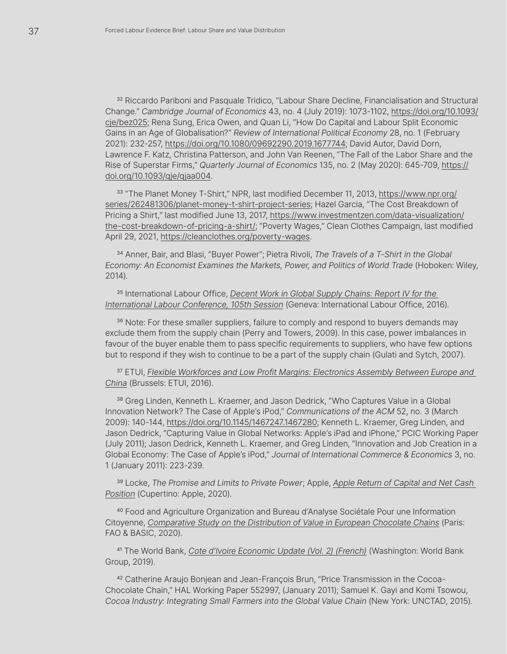<sup>32</sup> Riccardo Pariboni and Pasquale Tridico, "Labour Share Decline, Financialisation and Structural Change." *Cambridge Journal of Economics* 43, no. 4 (July 2019): 1073-1102, [https://doi.org/10.1093/](https://academic.oup.com/cje/article-abstract/43/4/1073/5512530?redirectedFrom=fulltext) [cje/bez025;](https://academic.oup.com/cje/article-abstract/43/4/1073/5512530?redirectedFrom=fulltext) Rena Sung, Erica Owen, and Quan Li, "How Do Capital and Labour Split Economic Gains in an Age of Globalisation?" *Review of International Political Economy* 28, no. 1 (February 2021): 232-257, [https://doi.org/10.1080/09692290.2019.1677744](https://www.tandfonline.com/doi/full/10.1080/09692290.2019.1677744); David Autor, David Dorn, Lawrence F. Katz, Christina Patterson, and John Van Reenen, "The Fall of the Labor Share and the Rise of Superstar Firms," *Quarterly Journal of Economics* 135, no. 2 (May 2020): 645-709, [https://](https://academic.oup.com/qje/article/135/2/645/5721266) [doi.org/10.1093/qje/qjaa004.](https://academic.oup.com/qje/article/135/2/645/5721266)

33 "The Planet Money T-Shirt," NPR, last modified December 11, 2013, [https://www.npr.org/](https://www.npr.org/series/262481306/planet-money-t-shirt-project-series?t=1637863779989) [series/262481306/planet-money-t-shirt-project-series](https://www.npr.org/series/262481306/planet-money-t-shirt-project-series?t=1637863779989); Hazel Garcia, "The Cost Breakdown of Pricing a Shirt," last modified June 13, 2017, [https://www.investmentzen.com/data-visualization/](https://www.investmentzen.com/data-visualization/the-cost-breakdown-of-pricing-a-shirt/) [the-cost-breakdown-of-pricing-a-shirt/](https://www.investmentzen.com/data-visualization/the-cost-breakdown-of-pricing-a-shirt/); "Poverty Wages," Clean Clothes Campaign, last modified April 29, 2021,<https://cleanclothes.org/poverty-wages>.

<sup>34</sup> Anner, Bair, and Blasi, "Buyer Power"; Pietra Rivoli, *The Travels of a T-Shirt in the Global Economy: An Economist Examines the Markets, Power, and Politics of World Trade* (Hoboken: Wiley, 2014).

<sup>35</sup> International Labour Office, *[Decent Work in Global Supply Chains: Report IV for the](https://www.ilo.org/wcmsp5/groups/public/---ed_norm/---relconf/documents/meetingdocument/wcms_468097.pdf)  [International Labour Conference, 105th Session](https://www.ilo.org/wcmsp5/groups/public/---ed_norm/---relconf/documents/meetingdocument/wcms_468097.pdf)* (Geneva: International Labour Office, 2016).

36 Note: For these smaller suppliers, failure to comply and respond to buyers demands may exclude them from the supply chain (Perry and Towers, 2009). In this case, power imbalances in favour of the buyer enable them to pass specific requirements to suppliers, who have few options but to respond if they wish to continue to be a part of the supply chain (Gulati and Sytch, 2007).

<sup>37</sup> ETUI, *[Flexible Workforces and Low Profit Margins: Electronics Assembly Between Europe and](https://www.etui.org/sites/default/files/Flexible%20workforces-Europe%20China-web%20version.pdf)  [China](https://www.etui.org/sites/default/files/Flexible%20workforces-Europe%20China-web%20version.pdf)* (Brussels: ETUI, 2016).

<sup>38</sup> Greg Linden, Kenneth L. Kraemer, and Jason Dedrick, "Who Captures Value in a Global Innovation Network? The Case of Apple's iPod," *Communications of the ACM* 52, no. 3 (March 2009): 140-144, [https://doi.org/10.1145/1467247.1467280;](https://dl.acm.org/doi/10.1145/1467247.1467280) Kenneth L. Kraemer, Greg Linden, and Jason Dedrick, "Capturing Value in Global Networks: Apple's iPad and iPhone," PCIC Working Paper (July 2011); Jason Dedrick, Kenneth L. Kraemer, and Greg Linden, "Innovation and Job Creation in a Global Economy: The Case of Apple's iPod," *Journal of International Commerce & Economics* 3, no. 1 (January 2011): 223-239.

<sup>39</sup> Locke, *The Promise and Limits to Private Power*; Apple, *[Apple Return of Capital and Net Cash](https://s2.q4cdn.com/470004039/files/doc_downloads/Apple-Return-of-Capital-and-Net-Cash-Position-Q2)  [Position](https://s2.q4cdn.com/470004039/files/doc_downloads/Apple-Return-of-Capital-and-Net-Cash-Position-Q2)* (Cupertino: Apple, 2020).

<sup>40</sup> Food and Agriculture Organization and Bureau d'Analyse Sociétale Pour une Information Citoyenne, *[Comparative Study on the Distribution of Value in European Chocolate Chains](https://www.eurococoa.com/wp-content/uploads/Comparative-study-on-the-distribution-of-the-value-in-the-European-chocolate-chains-Full-report.pdf)* (Paris: FAO & BASIC, 2020).

<sup>41</sup> The World Bank, *[Cote d'Ivoire Economic Update \(Vol. 2\) \(French\)](https://documents1.worldbank.org/curated/en/277191561741906355/pdf/Cote-dIvoire-Economic-Update.pdf)* (Washington: World Bank Group, 2019).

42 Catherine Araujo Bonjean and Jean-François Brun, "Price Transmission in the Cocoa-Chocolate Chain," HAL Working Paper 552997, (January 2011); Samuel K. Gayi and Komi Tsowou, *Cocoa Industry: Integrating Small Farmers into the Global Value Chain* (New York: UNCTAD, 2015).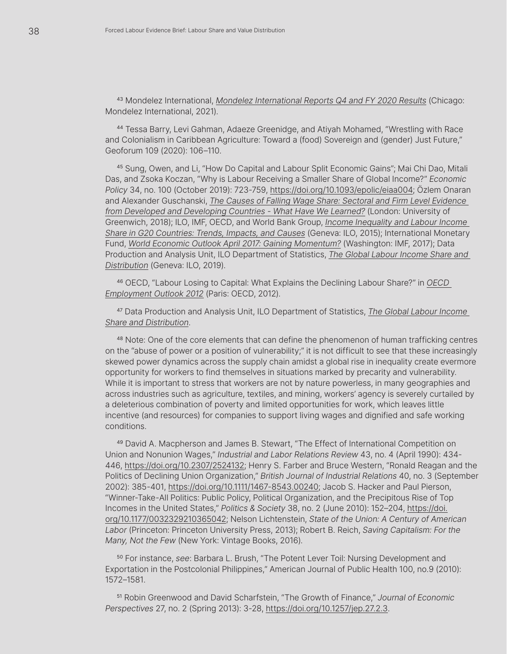<sup>43</sup> Mondelez International, *[Mondelez International Reports Q4 and FY 2020 Results](https://ir.mondelezinternational.com/news-releases/news-release-details/mondelez-international-reports-q4-and-fy-2020-results)* (Chicago: Mondelez International, 2021).

<sup>44</sup> Tessa Barry, Levi Gahman, Adaeze Greenidge, and Atiyah Mohamed, "Wrestling with Race and Colonialism in Caribbean Agriculture: Toward a (food) Sovereign and (gender) Just Future," Geoforum 109 (2020): 106–110.

<sup>45</sup> Sung, Owen, and Li, "How Do Capital and Labour Split Economic Gains"; Mai Chi Dao, Mitali Das, and Zsoka Koczan, "Why is Labour Receiving a Smaller Share of Global Income?" *Economic Policy* 34, no. 100 (October 2019): 723-759, [https://doi.org/10.1093/epolic/eiaa004;](https://academic.oup.com/economicpolicy/article-abstract/34/100/723/5803648?redirectedFrom=fulltext) Özlem Onaran and Alexander Guschanski, *[The Causes of Falling Wage Share: Sectoral and Firm Level Evidence](https://gala.gre.ac.uk/id/eprint/19373/7/19373%20ONARAN_The_Causes_of_Falling_Wage_Share_2018.pdf)  [from Developed and Developing Countries - What Have We Learned?](https://gala.gre.ac.uk/id/eprint/19373/7/19373%20ONARAN_The_Causes_of_Falling_Wage_Share_2018.pdf)* (London: University of Greenwich, 2018); ILO, IMF, OECD, and World Bank Group, *[Income Inequality and Labour Income](https://www.oecd.org/g20/topics/employment-and-social-policy/Income-inequality-labour-income-share.pdf)  [Share in G20 Countries: Trends, Impacts, and Causes](https://www.oecd.org/g20/topics/employment-and-social-policy/Income-inequality-labour-income-share.pdf)* (Geneva: ILO, 2015); International Monetary Fund, *[World Economic Outlook April 2017: Gaining Momentum?](https://www.imf.org/en/Publications/WEO/Issues/2017/04/04/world-economic-outlook-april-2017)* (Washington: IMF, 2017); Data Production and Analysis Unit, ILO Department of Statistics, *[The Global Labour Income Share and](https://www.ilo.org/wcmsp5/groups/public/---dgreports/---stat/documents/publication/wcms_712232.pdf)  [Distribution](https://www.ilo.org/wcmsp5/groups/public/---dgreports/---stat/documents/publication/wcms_712232.pdf)* (Geneva: ILO, 2019).

<sup>46</sup> OECD, "Labour Losing to Capital: What Explains the Declining Labour Share?" in *[OECD](https://www.oecd.org/els/emp/EMO%202012%20Eng_Chapter%203.pdf)  [Employment Outlook 2012](https://www.oecd.org/els/emp/EMO%202012%20Eng_Chapter%203.pdf)* (Paris: OECD, 2012).

<sup>47</sup> Data Production and Analysis Unit, ILO Department of Statistics, *[The Global Labour Income](https://www.ilo.org/wcmsp5/groups/public/---dgreports/---stat/documents/publication/wcms_712232.pdf)  [Share and Distribution](https://www.ilo.org/wcmsp5/groups/public/---dgreports/---stat/documents/publication/wcms_712232.pdf)*.

<sup>48</sup> Note: One of the core elements that can define the phenomenon of human trafficking centres on the "abuse of power or a position of vulnerability;" it is not difficult to see that these increasingly skewed power dynamics across the supply chain amidst a global rise in inequality create evermore opportunity for workers to find themselves in situations marked by precarity and vulnerability. While it is important to stress that workers are not by nature powerless, in many geographies and across industries such as agriculture, textiles, and mining, workers' agency is severely curtailed by a deleterious combination of poverty and limited opportunities for work, which leaves little incentive (and resources) for companies to support living wages and dignified and safe working conditions.

<sup>49</sup> David A. Macpherson and James B. Stewart, "The Effect of International Competition on Union and Nonunion Wages," *Industrial and Labor Relations Review* 43, no. 4 (April 1990): 434- 446, [https://doi.org/10.2307/2524132](https://www.jstor.org/stable/2524132?origin=crossref); Henry S. Farber and Bruce Western, "Ronald Reagan and the Politics of Declining Union Organization," *British Journal of Industrial Relations* 40, no. 3 (September 2002): 385-401, [https://doi.org/10.1111/1467-8543.00240;](https://onlinelibrary.wiley.com/doi/10.1111/1467-8543.00240) Jacob S. Hacker and Paul Pierson, "Winner-Take-All Politics: Public Policy, Political Organization, and the Precipitous Rise of Top Incomes in the United States," *Politics & Society* 38, no. 2 (June 2010): 152–204, [https://doi.](https://journals.sagepub.com/doi/10.1177/0032329210365042) [org/10.1177/0032329210365042](https://journals.sagepub.com/doi/10.1177/0032329210365042); Nelson Lichtenstein, *State of the Union: A Century of American Labor* (Princeton: Princeton University Press, 2013); Robert B. Reich, *Saving Capitalism: For the Many, Not the Few* (New York: Vintage Books, 2016).

<sup>50</sup> For instance, *see*: Barbara L. Brush, "The Potent Lever Toil: Nursing Development and Exportation in the Postcolonial Philippines," American Journal of Public Health 100, no.9 (2010): 1572–1581.

<sup>51</sup> Robin Greenwood and David Scharfstein, "The Growth of Finance," *Journal of Economic Perspectives* 27, no. 2 (Spring 2013): 3-28, [https://doi.org/10.1257/jep.27.2.3.](https://www.aeaweb.org/articles?id=10.1257/jep.27.2.3)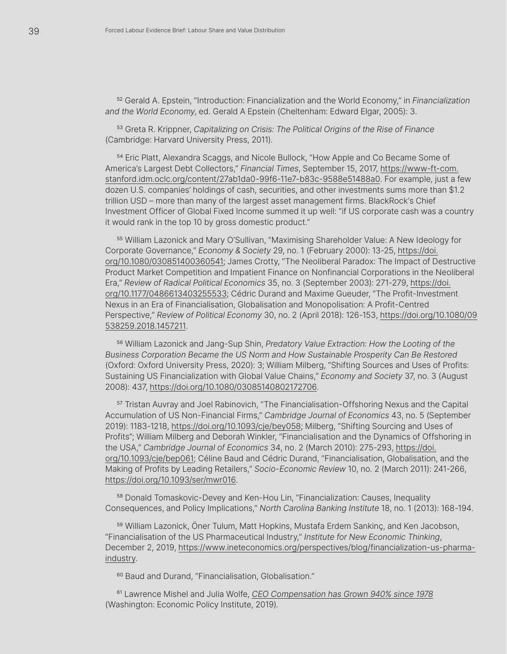<sup>52</sup> Gerald A. Epstein, "Introduction: Financialization and the World Economy," in *Financialization and the World Economy*, ed. Gerald A Epstein (Cheltenham: Edward Elgar, 2005): 3.

<sup>53</sup> Greta R. Krippner, *Capitalizing on Crisis: The Political Origins of the Rise of Finance* (Cambridge: Harvard University Press, 2011).

<sup>54</sup> Eric Platt, Alexandra Scaggs, and Nicole Bullock, "How Apple and Co Became Some of America's Largest Debt Collectors," *Financial Times*, September 15, 2017, [https://www-ft-com.](https://www.ft.com/content/27ab1da0-99f6-11e7-b83c-9588e51488a0) [stanford.idm.oclc.org/content/27ab1da0-99f6-11e7-b83c-9588e51488a0](https://www.ft.com/content/27ab1da0-99f6-11e7-b83c-9588e51488a0). For example, just a few dozen U.S. companies' holdings of cash, securities, and other investments sums more than \$1.2 trillion USD – more than many of the largest asset management firms. BlackRock's Chief Investment Officer of Global Fixed Income summed it up well: "if US corporate cash was a country it would rank in the top 10 by gross domestic product."

<sup>55</sup> William Lazonick and Mary O'Sullivan, "Maximising Shareholder Value: A New Ideology for Corporate Governance," *Economy & Society* 29, no. 1 (February 2000): 13-25, [https://doi.](https://www.tandfonline.com/doi/abs/10.1080/030851400360541) [org/10.1080/030851400360541;](https://www.tandfonline.com/doi/abs/10.1080/030851400360541) James Crotty, "The Neoliberal Paradox: The Impact of Destructive Product Market Competition and Impatient Finance on Nonfinancial Corporations in the Neoliberal Era," *Review of Radical Political Economics* 35, no. 3 (September 2003): 271-279, [https://doi.](https://journals.sagepub.com/doi/10.1177/0486613403255533) [org/10.1177/0486613403255533;](https://journals.sagepub.com/doi/10.1177/0486613403255533) Cédric Durand and Maxime Gueuder, "The Profit-Investment Nexus in an Era of Financialisation, Globalisation and Monopolisation: A Profit-Centred Perspective," *Review of Political Economy* 30, no. 2 (April 2018): 126-153, [https://doi.org/10.1080/09](https://www.tandfonline.com/doi/full/10.1080/09538259.2018.1457211) [538259.2018.1457211.](https://www.tandfonline.com/doi/full/10.1080/09538259.2018.1457211)

<sup>56</sup> William Lazonick and Jang-Sup Shin, *Predatory Value Extraction: How the Looting of the Business Corporation Became the US Norm and How Sustainable Prosperity Can Be Restored* (Oxford: Oxford University Press, 2020): 3; William Milberg, "Shifting Sources and Uses of Profits: Sustaining US Financialization with Global Value Chains," *Economy and Society* 37, no. 3 (August 2008): 437, [https://doi.org/10.1080/03085140802172706.](https://www.tandfonline.com/doi/full/10.1080/03085140802172706)

<sup>57</sup> Tristan Auvray and Joel Rabinovich, "The Financialisation-Offshoring Nexus and the Capital Accumulation of US Non-Financial Firms," *Cambridge Journal of Economics* 43, no. 5 (September 2019): 1183-1218, [https://doi.org/10.1093/cje/bey058](https://academic.oup.com/cje/article-abstract/43/5/1183/5306354?redirectedFrom=fulltext); Milberg, "Shifting Sourcing and Uses of Profits"; William Milberg and Deborah Winkler, "Financialisation and the Dynamics of Offshoring in the USA," *Cambridge Journal of Economics* 34, no. 2 (March 2010): 275-293, [https://doi.](https://academic.oup.com/cje/article-abstract/34/2/275/1695114?redirectedFrom=fulltext) [org/10.1093/cje/bep061](https://academic.oup.com/cje/article-abstract/34/2/275/1695114?redirectedFrom=fulltext); Céline Baud and Cédric Durand, "Financialisation, Globalisation, and the Making of Profits by Leading Retailers," *Socio-Economic Review* 10, no. 2 (March 2011): 241-266, [https://doi.org/10.1093/ser/mwr016](https://academic.oup.com/ser/article-abstract/10/2/241/1625044?redirectedFrom=fulltext).

<sup>58</sup> Donald Tomaskovic-Devey and Ken-Hou Lin, "Financialization: Causes, Inequality Consequences, and Policy Implications," *North Carolina Banking Institute* 18, no. 1 (2013): 168-194.

<sup>59</sup> William Lazonick, Öner Tulum, Matt Hopkins, Mustafa Erdem Sankinç, and Ken Jacobson, "Financialisation of the US Pharmaceutical Industry," *Institute for New Economic Thinking*, December 2, 2019, [https://www.ineteconomics.org/perspectives/blog/financialization-us-pharma](https://www.ineteconomics.org/perspectives/blog/financialization-us-pharma-industry)[industry.](https://www.ineteconomics.org/perspectives/blog/financialization-us-pharma-industry)

<sup>60</sup> Baud and Durand, "Financialisation, Globalisation."

<sup>61</sup> Lawrence Mishel and Julia Wolfe, *[CEO Compensation has Grown 940% since 1978](https://www.epi.org/publication/ceo-compensation-2018/)* (Washington: Economic Policy Institute, 2019).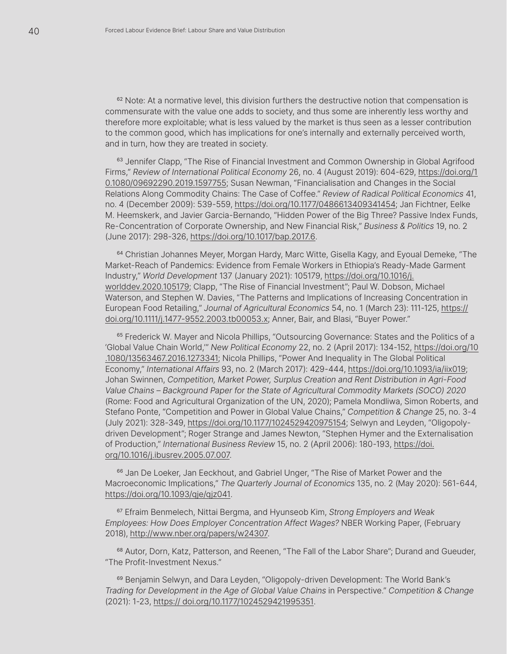<sup>62</sup> Note: At a normative level, this division furthers the destructive notion that compensation is commensurate with the value one adds to society, and thus some are inherently less worthy and therefore more exploitable; what is less valued by the market is thus seen as a lesser contribution to the common good, which has implications for one's internally and externally perceived worth, and in turn, how they are treated in society.

<sup>63</sup> Jennifer Clapp, "The Rise of Financial Investment and Common Ownership in Global Agrifood Firms," *Review of International Political Economy* 26, no. 4 (August 2019): 604-629, [https://doi.org/1](https://www.tandfonline.com/doi/full/10.1080/09692290.2019.1597755) [0.1080/09692290.2019.1597755](https://www.tandfonline.com/doi/full/10.1080/09692290.2019.1597755); Susan Newman, "Financialisation and Changes in the Social Relations Along Commodity Chains: The Case of Coffee." *Review of Radical Political Economics* 41, no. 4 (December 2009): 539-559, [https://doi.org/10.1177/0486613409341454;](https://journals.sagepub.com/doi/10.1177/0486613409341454) Jan Fichtner, Eelke M. Heemskerk, and Javier Garcia-Bernando, "Hidden Power of the Big Three? Passive Index Funds, Re-Concentration of Corporate Ownership, and New Financial Risk," *Business & Politics* 19, no. 2 (June 2017): 298-326, [https://doi.org/10.1017/bap.2017.6.](https://www.cambridge.org/core/journals/business-and-politics/article/hidden-power-of-the-big-three-passive-index-funds-reconcentration-of-corporate-ownership-and-new-financial-risk/30AD689509AAD62F5B677E916C28C4B6)

<sup>64</sup> Christian Johannes Meyer, Morgan Hardy, Marc Witte, Gisella Kagy, and Eyoual Demeke, "The Market-Reach of Pandemics: Evidence from Female Workers in Ethiopia's Ready-Made Garment Industry," *World Development* 137 (January 2021): 105179, [https://doi.org/10.1016/j.](https://www.sciencedirect.com/science/article/pii/S0305750X20303065?via%3Dihub) [worlddev.2020.105179](https://www.sciencedirect.com/science/article/pii/S0305750X20303065?via%3Dihub); Clapp, "The Rise of Financial Investment"; Paul W. Dobson, Michael Waterson, and Stephen W. Davies, "The Patterns and Implications of Increasing Concentration in European Food Retailing," *Journal of Agricultural Economics* 54, no. 1 (March 23): 111-125, [https://](https://onlinelibrary.wiley.com/doi/10.1111/j.1477-9552.2003.tb00053.x) [doi.org/10.1111/j.1477-9552.2003.tb00053.x;](https://onlinelibrary.wiley.com/doi/10.1111/j.1477-9552.2003.tb00053.x) Anner, Bair, and Blasi, "Buyer Power."

<sup>65</sup> Frederick W. Mayer and Nicola Phillips, "Outsourcing Governance: States and the Politics of a 'Global Value Chain World,'" *New Political Economy* 22, no. 2 (April 2017): 134-152, [https://doi.org/10](https://www.tandfonline.com/doi/full/10.1080/13563467.2016.1273341) [.1080/13563467.2016.1273341](https://www.tandfonline.com/doi/full/10.1080/13563467.2016.1273341); Nicola Phillips, "Power And Inequality in The Global Political Economy," *International Affairs* 93, no. 2 (March 2017): 429-444, [https://doi.org/10.1093/ia/iix019;](https://academic.oup.com/ia/article/93/2/429/2997439) Johan Swinnen, *Competition, Market Power, Surplus Creation and Rent Distribution in Agri-Food Value Chains – Background Paper for the State of Agricultural Commodity Markets (SOCO) 2020* (Rome: Food and Agricultural Organization of the UN, 2020); Pamela Mondliwa, Simon Roberts, and Stefano Ponte, "Competition and Power in Global Value Chains," *Competition & Change* 25, no. 3-4 (July 2021): 328-349, [https://doi.org/10.1177/1024529420975154;](https://journals.sagepub.com/doi/10.1177/1024529420975154) Selwyn and Leyden, "Oligopolydriven Development"; Roger Strange and James Newton, "Stephen Hymer and the Externalisation of Production," *International Business Review* 15, no. 2 (April 2006): 180-193, [https://doi.](https://www.sciencedirect.com/science/article/abs/pii/S0969593105001253?via%3Dihub) [org/10.1016/j.ibusrev.2005.07.007](https://www.sciencedirect.com/science/article/abs/pii/S0969593105001253?via%3Dihub).

<sup>66</sup> Jan De Loeker, Jan Eeckhout, and Gabriel Unger, "The Rise of Market Power and the Macroeconomic Implications," *The Quarterly Journal of Economics* 135, no. 2 (May 2020): 561-644, [https://doi.org/10.1093/qje/qjz041](https://academic.oup.com/qje/article/135/2/561/5714769).

<sup>67</sup> Efraim Benmelech, Nittai Bergma, and Hyunseob Kim, *Strong Employers and Weak Employees: How Does Employer Concentration Affect Wages?* NBER Working Paper, (February 2018), [http://www.nber.org/papers/w24307](https://www.nber.org/papers/w24307).

<sup>68</sup> Autor, Dorn, Katz, Patterson, and Reenen, "The Fall of the Labor Share"; Durand and Gueuder, "The Profit-Investment Nexus."

<sup>69</sup> Benjamin Selwyn, and Dara Leyden, "Oligopoly-driven Development: The World Bank's *Trading for Development in the Age of Global Value Chains* in Perspective." *Competition & Change* (2021): 1-23, [https:// doi.org/10.1177/1024529421995351.](https://journals.sagepub.com/doi/full/10.1177/1024529421995351)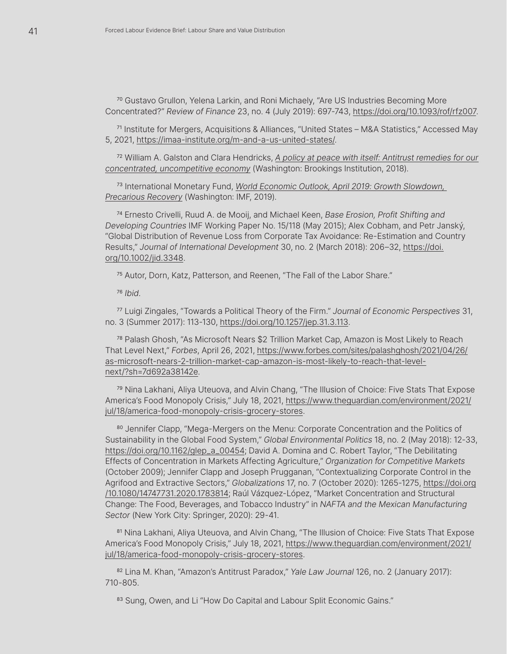<sup>70</sup> Gustavo Grullon, Yelena Larkin, and Roni Michaely, "Are US Industries Becoming More Concentrated?" *Review of Finance* 23, no. 4 (July 2019): 697-743, [https://doi.org/10.1093/rof/rfz007](https://academic.oup.com/rof/article/23/4/697/5477414).

<sup>71</sup> Institute for Mergers, Acquisitions & Alliances, "United States – M&A Statistics," Accessed May 5, 2021,<https://imaa-institute.org/m-and-a-us-united-states/>.

<sup>72</sup> William A. Galston and Clara Hendricks, *[A policy at peace with itself: Antitrust remedies for our](https://www.brookings.edu/research/a-policy-at-peace-with-itself-antitrust-remedies-for-our-concentrated-uncompetitive-economy/) [concentrated, uncompetitive economy](https://www.brookings.edu/research/a-policy-at-peace-with-itself-antitrust-remedies-for-our-concentrated-uncompetitive-economy/)* (Washington: Brookings Institution, 2018).

<sup>73</sup> International Monetary Fund, *[World Economic Outlook, April 2019: Growth Slowdown,](https://www.imf.org/en/Publications/WEO/Issues/2019/03/28/world-economic-outlook-april-2019)  [Precarious Recovery](https://www.imf.org/en/Publications/WEO/Issues/2019/03/28/world-economic-outlook-april-2019)* (Washington: IMF, 2019).

<sup>74</sup> Ernesto Crivelli, Ruud A. de Mooij, and Michael Keen, *Base Erosion, Profit Shifting and Developing Countries* IMF Working Paper No. 15/118 (May 2015); Alex Cobham, and Petr Janský, "Global Distribution of Revenue Loss from Corporate Tax Avoidance: Re-Estimation and Country Results," *Journal of International Development* 30, no. 2 (March 2018): 206–32, [https://doi.](https://onlinelibrary.wiley.com/doi/10.1002/jid.3348) [org/10.1002/jid.3348.](https://onlinelibrary.wiley.com/doi/10.1002/jid.3348)

<sup>75</sup> Autor, Dorn, Katz, Patterson, and Reenen, "The Fall of the Labor Share."

<sup>76</sup> *Ibid*.

<sup>77</sup> Luigi Zingales, "Towards a Political Theory of the Firm." *Journal of Economic Perspectives* 31, no. 3 (Summer 2017): 113-130, [https://doi.org/10.1257/jep.31.3.113.](https://www.aeaweb.org/articles?id=10.1257/jep.31.3.113)

<sup>78</sup> Palash Ghosh, "As Microsoft Nears \$2 Trillion Market Cap, Amazon is Most Likely to Reach That Level Next," *Forbes*, April 26, 2021, [https://www.forbes.com/sites/palashghosh/2021/04/26/](https://www.forbes.com/sites/palashghosh/2021/04/26/as-microsoft-nears-2-trillion-market-cap-amazon-is-most-likely-to-reach-that-level-next/?sh=7d692a38142e) [as-microsoft-nears-2-trillion-market-cap-amazon-is-most-likely-to-reach-that-level](https://www.forbes.com/sites/palashghosh/2021/04/26/as-microsoft-nears-2-trillion-market-cap-amazon-is-most-likely-to-reach-that-level-next/?sh=7d692a38142e)[next/?sh=7d692a38142e](https://www.forbes.com/sites/palashghosh/2021/04/26/as-microsoft-nears-2-trillion-market-cap-amazon-is-most-likely-to-reach-that-level-next/?sh=7d692a38142e).

<sup>79</sup> Nina Lakhani, Aliya Uteuova, and Alvin Chang, "The Illusion of Choice: Five Stats That Expose America's Food Monopoly Crisis," July 18, 2021, [https://www.theguardian.com/environment/2021/](https://www.theguardian.com/environment/2021/jul/18/america-food-monopoly-crisis-grocery-stores) [jul/18/america-food-monopoly-crisis-grocery-stores.](https://www.theguardian.com/environment/2021/jul/18/america-food-monopoly-crisis-grocery-stores)

80 Jennifer Clapp, "Mega-Mergers on the Menu: Corporate Concentration and the Politics of Sustainability in the Global Food System," *Global Environmental Politics* 18, no. 2 (May 2018): 12-33, [https://doi.org/10.1162/glep\\_a\\_00454](https://direct.mit.edu/glep/article-abstract/18/2/12/14909/Mega-Mergers-on-the-Menu-Corporate-Concentration?redirectedFrom=fulltext); David A. Domina and C. Robert Taylor, "The Debilitating Effects of Concentration in Markets Affecting Agriculture," *Organization for Competitive Markets* (October 2009); Jennifer Clapp and Joseph Prugganan, "Contextualizing Corporate Control in the Agrifood and Extractive Sectors," *Globalizations* 17, no. 7 (October 2020): 1265-1275, [https://doi.org](https://www.tandfonline.com/doi/full/10.1080/14747731.2020.1783814) [/10.1080/14747731.2020.1783814;](https://www.tandfonline.com/doi/full/10.1080/14747731.2020.1783814) Raúl Vázquez-López, "Market Concentration and Structural Change: The Food, Beverages, and Tobacco Industry" in *NAFTA and the Mexican Manufacturing Sector* (New York City: Springer, 2020): 29-41.

81 Nina Lakhani, Aliya Uteuova, and Alvin Chang, "The Illusion of Choice: Five Stats That Expose America's Food Monopoly Crisis," July 18, 2021, [https://www.theguardian.com/environment/2021/](mailto:g.lebaron%40sheffield.ac.uk?subject=ReStructure%20Lab%20Enquiry) [jul/18/america-food-monopoly-crisis-grocery-stores.](mailto:g.lebaron%40sheffield.ac.uk?subject=ReStructure%20Lab%20Enquiry)

<sup>82</sup> Lina M. Khan, "Amazon's Antitrust Paradox," *Yale Law Journal* 126, no. 2 (January 2017): 710-805.

83 Sung, Owen, and Li "How Do Capital and Labour Split Economic Gains."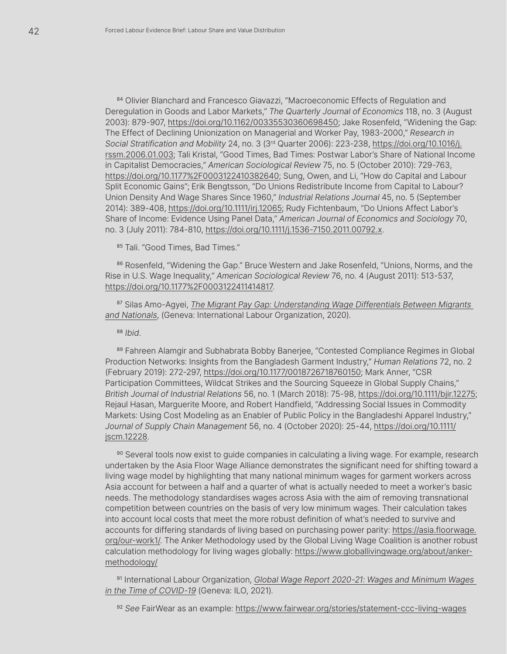84 Olivier Blanchard and Francesco Giavazzi, "Macroeconomic Effects of Regulation and Deregulation in Goods and Labor Markets," *The Quarterly Journal of Economics* 118, no. 3 (August 2003): 879-907, [https://doi.org/10.1162/00335530360698450](https://academic.oup.com/qje/article-abstract/118/3/879/1943012?redirectedFrom=fulltext); Jake Rosenfeld, "Widening the Gap: The Effect of Declining Unionization on Managerial and Worker Pay, 1983-2000," *Research in Social Stratification and Mobility* 24, no. 3 (3rd Quarter 2006): 223-238, [https://doi.org/10.1016/j.](https://www.sciencedirect.com/science/article/abs/pii/S0276562406000230?via%3Dihub) [rssm.2006.01.003](https://www.sciencedirect.com/science/article/abs/pii/S0276562406000230?via%3Dihub); Tali Kristal, "Good Times, Bad Times: Postwar Labor's Share of National Income in Capitalist Democracies," *American Sociological Review* 75, no. 5 (October 2010): 729-763, [https://doi.org/10.1177%2F0003122410382640;](https://journals.sagepub.com/doi/10.1177/0003122410382640) Sung, Owen, and Li, "How do Capital and Labour Split Economic Gains"; Erik Bengtsson, "Do Unions Redistribute Income from Capital to Labour? Union Density And Wage Shares Since 1960," *Industrial Relations Journal* 45, no. 5 (September 2014): 389-408, [https://doi.org/10.1111/irj.12065](https://onlinelibrary.wiley.com/doi/10.1111/irj.12065); Rudy Fichtenbaum, "Do Unions Affect Labor's Share of Income: Evidence Using Panel Data," *American Journal of Economics and Sociology* 70, no. 3 (July 2011): 784-810, [https://doi.org/10.1111/j.1536-7150.2011.00792.x.](https://onlinelibrary.wiley.com/doi/10.1111/j.1536-7150.2011.00792.x)

85 Tali. "Good Times, Bad Times."

86 Rosenfeld, "Widening the Gap." Bruce Western and Jake Rosenfeld, "Unions, Norms, and the Rise in U.S. Wage Inequality," *American Sociological Review* 76, no. 4 (August 2011): 513-537, [https://doi.org/10.1177%2F0003122411414817](https://journals.sagepub.com/doi/10.1177/0003122411414817).

<sup>87</sup> Silas Amo-Agyei, *[The Migrant Pay Gap: Understanding Wage Differentials Between Migrants](https://www.ilo.org/wcmsp5/groups/public/---ed_protect/---protrav/---migrant/documents/publication/wcms_763803.pdf)  [and Nationals](https://www.ilo.org/wcmsp5/groups/public/---ed_protect/---protrav/---migrant/documents/publication/wcms_763803.pdf)*, (Geneva: International Labour Organization, 2020).

<sup>88</sup> *Ibid*.

89 Fahreen Alamgir and Subhabrata Bobby Banerjee, "Contested Compliance Regimes in Global Production Networks: Insights from the Bangladesh Garment Industry," *Human Relations* 72, no. 2 (February 2019): 272-297, [https://doi.org/10.1177/0018726718760150](https://journals.sagepub.com/doi/10.1177/0018726718760150); Mark Anner, "CSR Participation Committees, Wildcat Strikes and the Sourcing Squeeze in Global Supply Chains," *British Journal of Industrial Relations* 56, no. 1 (March 2018): 75-98, [https://doi.org/10.1111/bjir.12275](https://onlinelibrary.wiley.com/doi/10.1111/bjir.12275); Rejaul Hasan, Marguerite Moore, and Robert Handfield, "Addressing Social Issues in Commodity Markets: Using Cost Modeling as an Enabler of Public Policy in the Bangladeshi Apparel Industry," *Journal of Supply Chain Management* 56, no. 4 (October 2020): 25-44, [https://doi.org/10.1111/](https://onlinelibrary.wiley.com/doi/epdf/10.1111/jscm.12228) [jscm.12228.](https://onlinelibrary.wiley.com/doi/epdf/10.1111/jscm.12228)

90 Several tools now exist to guide companies in calculating a living wage. For example, research undertaken by the Asia Floor Wage Alliance demonstrates the significant need for shifting toward a living wage model by highlighting that many national minimum wages for garment workers across Asia account for between a half and a quarter of what is actually needed to meet a worker's basic needs. The methodology standardises wages across Asia with the aim of removing transnational competition between countries on the basis of very low minimum wages. Their calculation takes into account local costs that meet the more robust definition of what's needed to survive and accounts for differing standards of living based on purchasing power parity: [https://asia.floorwage.](https://asia.floorwage.org/our-work1/) [org/our-work1/](https://asia.floorwage.org/our-work1/). The Anker Methodology used by the Global Living Wage Coalition is another robust calculation methodology for living wages globally: [https://www.globallivingwage.org/about/anker](https://www.globallivingwage.org/about/anker-methodology/)[methodology/](https://www.globallivingwage.org/about/anker-methodology/)

<sup>91</sup> International Labour Organization, *[Global Wage Report 2020-21: Wages and Minimum Wages](https://www.ilo.org/wcmsp5/groups/public/---dgreports/---dcomm/---publ/documents/publication/wcms_762534.pdf)  [in the Time of COVID-19](https://www.ilo.org/wcmsp5/groups/public/---dgreports/---dcomm/---publ/documents/publication/wcms_762534.pdf)* (Geneva: ILO, 2021).

<sup>92</sup> *See* FairWear as an example: <https://www.fairwear.org/stories/statement-ccc-living-wages>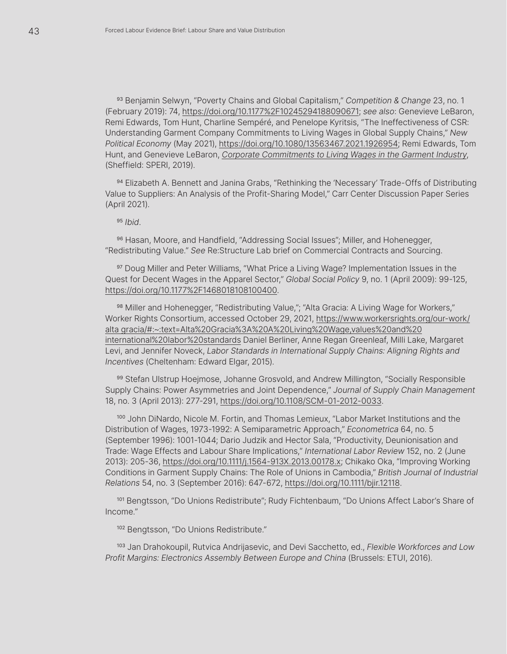<sup>93</sup> Benjamin Selwyn, "Poverty Chains and Global Capitalism," *Competition & Change* 23, no. 1 (February 2019): 74, [https://doi.org/10.1177%2F10245294188090671;](https://journals.sagepub.com/doi/10.1177/1024529418809067) *see also*: Genevieve LeBaron, Remi Edwards, Tom Hunt, Charline Sempéré, and Penelope Kyritsis, "The Ineffectiveness of CSR: Understanding Garment Company Commitments to Living Wages in Global Supply Chains," *New Political Economy* (May 2021), [https://doi.org/10.1080/13563467.2021.1926954;](https://www.tandfonline.com/doi/full/10.1080/13563467.2021.1926954) Remi Edwards, Tom Hunt, and Genevieve LeBaron, *Corporate Commitments to Living Wages in the Garment Industry*, (Sheffield: SPERI, 2019).

94 Elizabeth A. Bennett and Janina Grabs, "Rethinking the 'Necessary' Trade-Offs of Distributing Value to Suppliers: An Analysis of the Profit-Sharing Model," Carr Center Discussion Paper Series (April 2021).

<sup>95</sup> *Ibid*.

<sup>96</sup> Hasan, Moore, and Handfield, "Addressing Social Issues"; Miller, and Hohenegger, "Redistributing Value." *See* Re:Structure Lab brief on Commercial Contracts and Sourcing.

97 Doug Miller and Peter Williams, "What Price a Living Wage? Implementation Issues in the Quest for Decent Wages in the Apparel Sector," *Global Social Policy* 9, no. 1 (April 2009): 99-125, [https://doi.org/10.1177%2F1468018108100400.](https://journals.sagepub.com/doi/10.1177/1468018108100400)

98 Miller and Hohenegger, "Redistributing Value,"; "Alta Gracia: A Living Wage for Workers," Worker Rights Consortium, accessed October 29, 2021, [https://www.workersrights.org/our-work/](https://www.workersrights.org/our-work/alta%20gracia/#:~:text=Alta%20Gracia%3A%20A%20Living%20Wage,values%20and%20international%20labor%20standards) [alta gracia/#:~:text=Alta%20Gracia%3A%20A%20Living%20Wage,values%20and%20](https://www.workersrights.org/our-work/alta%20gracia/#:~:text=Alta%20Gracia%3A%20A%20Living%20Wage,values%20and%20international%20labor%20standards) [international%20labor%20standards](https://www.workersrights.org/our-work/alta%20gracia/#:~:text=Alta%20Gracia%3A%20A%20Living%20Wage,values%20and%20international%20labor%20standards) Daniel Berliner, Anne Regan Greenleaf, Milli Lake, Margaret Levi, and Jennifer Noveck, *Labor Standards in International Supply Chains: Aligning Rights and Incentives* (Cheltenham: Edward Elgar, 2015).

99 Stefan Ulstrup Hoejmose, Johanne Grosvold, and Andrew Millington, "Socially Responsible Supply Chains: Power Asymmetries and Joint Dependence," *Journal of Supply Chain Management* 18, no. 3 (April 2013): 277-291, [https://doi.org/10.1108/SCM-01-2012-0033](https://www.emerald.com/insight/content/doi/10.1108/SCM-01-2012-0033/full/html).

<sup>100</sup> John DiNardo, Nicole M. Fortin, and Thomas Lemieux, "Labor Market Institutions and the Distribution of Wages, 1973-1992: A Semiparametric Approach," *Econometrica* 64, no. 5 (September 1996): 1001-1044; Dario Judzik and Hector Sala, "Productivity, Deunionisation and Trade: Wage Effects and Labour Share Implications," *International Labor Review* 152, no. 2 (June 2013): 205-36, [https://doi.org/10.1111/j.1564-913X.2013.00178.x;](https://onlinelibrary.wiley.com/doi/10.1111/j.1564-913X.2013.00178.x) Chikako Oka, "Improving Working Conditions in Garment Supply Chains: The Role of Unions in Cambodia," *British Journal of Industrial Relations* 54, no. 3 (September 2016): 647-672, [https://doi.org/10.1111/bjir.12118](https://onlinelibrary.wiley.com/doi/10.1111/bjir.12118).

101 Bengtsson, "Do Unions Redistribute"; Rudy Fichtenbaum, "Do Unions Affect Labor's Share of Income."

<sup>102</sup> Bengtsson, "Do Unions Redistribute."

<sup>103</sup> Jan Drahokoupil, Rutvica Andrijasevic, and Devi Sacchetto, ed., *Flexible Workforces and Low Profit Margins: Electronics Assembly Between Europe and China* (Brussels: ETUI, 2016).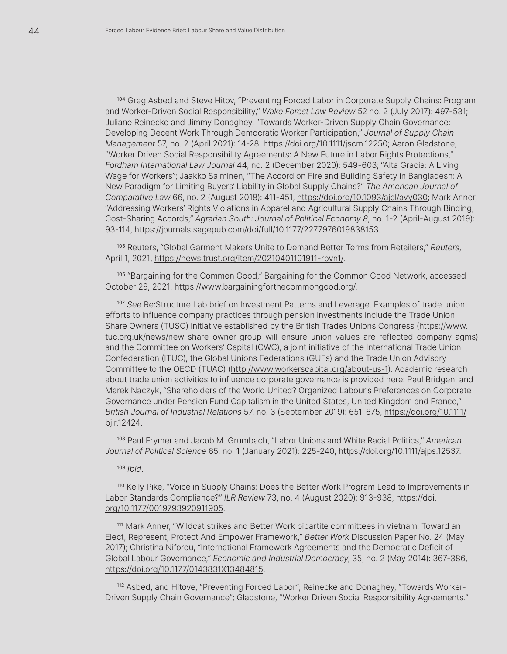<sup>104</sup> Greg Asbed and Steve Hitov, "Preventing Forced Labor in Corporate Supply Chains: Program and Worker-Driven Social Responsibility," *Wake Forest Law Review* 52 no. 2 (July 2017): 497-531; Juliane Reinecke and Jimmy Donaghey, "Towards Worker-Driven Supply Chain Governance: Developing Decent Work Through Democratic Worker Participation," *Journal of Supply Chain Management* 57, no. 2 (April 2021): 14-28, [https://doi.org/10.1111/jscm.12250](https://onlinelibrary.wiley.com/doi/10.1111/jscm.12250); Aaron Gladstone, "Worker Driven Social Responsibility Agreements: A New Future in Labor Rights Protections," *Fordham International Law Journal* 44, no. 2 (December 2020): 549-603; "Alta Gracia: A Living Wage for Workers"; Jaakko Salminen, "The Accord on Fire and Building Safety in Bangladesh: A New Paradigm for Limiting Buyers' Liability in Global Supply Chains?" *The American Journal of Comparative Law* 66, no. 2 (August 2018): 411-451, [https://doi.org/10.1093/ajcl/avy030;](https://academic.oup.com/ajcl/article/66/2/411/5079089) Mark Anner, "Addressing Workers' Rights Violations in Apparel and Agricultural Supply Chains Through Binding, Cost-Sharing Accords," *Agrarian South: Journal of Political Economy 8*, no. 1-2 (April-August 2019): 93-114, <https://journals.sagepub.com/doi/full/10.1177/2277976019838153>.

<sup>105</sup> Reuters, "Global Garment Makers Unite to Demand Better Terms from Retailers," *Reuters*, April 1, 2021, [https://news.trust.org/item/20210401101911-rpvn1/.](https://news.trust.org/item/20210401101911-rpvn1/)

<sup>106</sup> "Bargaining for the Common Good," Bargaining for the Common Good Network, accessed October 29, 2021, <https://www.bargainingforthecommongood.org/>.

<sup>107</sup> *See* Re:Structure Lab brief on Investment Patterns and Leverage. Examples of trade union efforts to influence company practices through pension investments include the Trade Union Share Owners (TUSO) initiative established by the British Trades Unions Congress ([https://www.](https://www.tuc.org.uk/news/new-share-owner-group-will-ensure-union-values-are-reflected-company-agms) [tuc.org.uk/news/new-share-owner-group-will-ensure-union-values-are-reflected-company-agms\)](https://www.tuc.org.uk/news/new-share-owner-group-will-ensure-union-values-are-reflected-company-agms) and the Committee on Workers' Capital (CWC), a joint initiative of the International Trade Union Confederation (ITUC), the Global Unions Federations (GUFs) and the Trade Union Advisory Committee to the OECD (TUAC) [\(http://www.workerscapital.org/about-us-1\)](http://www.workerscapital.org/about-us-1). Academic research about trade union activities to influence corporate governance is provided here: Paul Bridgen, and Marek Naczyk, "Shareholders of the World United? Organized Labour's Preferences on Corporate Governance under Pension Fund Capitalism in the United States, United Kingdom and France," *British Journal of Industrial Relations* 57, no. 3 (September 2019): 651-675, [https://doi.org/10.1111/](https://onlinelibrary.wiley.com/doi/10.1111/bjir.12424) [bjir.12424.](https://onlinelibrary.wiley.com/doi/10.1111/bjir.12424)

<sup>108</sup> Paul Frymer and Jacob M. Grumbach, "Labor Unions and White Racial Politics," *American Journal of Political Science* 65, no. 1 (January 2021): 225-240, [https://doi.org/10.1111/ajps.12537.](https://onlinelibrary.wiley.com/doi/epdf/10.1111/ajps.12537)

<sup>109</sup> *Ibid*.

<sup>110</sup> Kelly Pike, "Voice in Supply Chains: Does the Better Work Program Lead to Improvements in Labor Standards Compliance?" *ILR Review* 73, no. 4 (August 2020): 913-938, [https://doi.](https://journals.sagepub.com/doi/10.1177/0019793920911905) [org/10.1177/0019793920911905.](https://journals.sagepub.com/doi/10.1177/0019793920911905)

<sup>111</sup> Mark Anner, "Wildcat strikes and Better Work bipartite committees in Vietnam: Toward an Elect, Represent, Protect And Empower Framework," *Better Work* Discussion Paper No. 24 (May 2017); Christina Niforou, "International Framework Agreements and the Democratic Deficit of Global Labour Governance," *Economic and Industrial Democracy*, 35, no. 2 (May 2014): 367-386, [https://doi.org/10.1177/0143831X13484815](https://journals.sagepub.com/doi/10.1177/0143831X13484815).

<sup>112</sup> Asbed, and Hitove, "Preventing Forced Labor"; Reinecke and Donaghey, "Towards Worker-Driven Supply Chain Governance"; Gladstone, "Worker Driven Social Responsibility Agreements."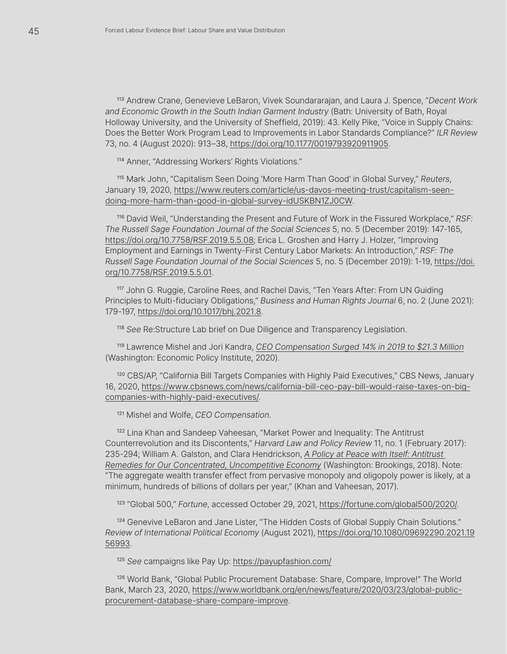<sup>113</sup> Andrew Crane, Genevieve LeBaron, Vivek Soundararajan, and Laura J. Spence, "*Decent Work and Economic Growth in the South Indian Garment Industry* (Bath: University of Bath, Royal Holloway University, and the University of Sheffield, 2019): 43. Kelly Pike, "Voice in Supply Chains: Does the Better Work Program Lead to Improvements in Labor Standards Compliance?" *ILR Review* 73, no. 4 (August 2020): 913–38, [https://doi.org/10.1177/0019793920911905](https://journals.sagepub.com/doi/10.1177/0019793920911905).

<sup>114</sup> Anner, "Addressing Workers' Rights Violations."

<sup>115</sup> Mark John, "Capitalism Seen Doing 'More Harm Than Good' in Global Survey," *Reuters*, January 19, 2020, [https://www.reuters.com/article/us-davos-meeting-trust/capitalism-seen](https://www.reuters.com/article/us-davos-meeting-trust/capitalism-seen-doing-more-harm-than-good-in-global-survey-idUSKBN1ZJ0CW)[doing-more-harm-than-good-in-global-survey-idUSKBN1ZJ0CW.](https://www.reuters.com/article/us-davos-meeting-trust/capitalism-seen-doing-more-harm-than-good-in-global-survey-idUSKBN1ZJ0CW)

<sup>116</sup> David Weil, "Understanding the Present and Future of Work in the Fissured Workplace," *RSF: The Russell Sage Foundation Journal of the Social Sciences* 5, no. 5 (December 2019): 147-165, [https://doi.org/10.7758/RSF.2019.5.5.08](https://www.jstor.org/stable/10.7758/rsf.2019.5.5.08#metadata_info_tab_contents); Erica L. Groshen and Harry J. Holzer, "Improving Employment and Earnings in Twenty-First Century Labor Markets: An Introduction," *RSF: The Russell Sage Foundation Journal of the Social Sciences* 5, no. 5 (December 2019): 1-19, [https://doi.](https://www.jstor.org/stable/10.7758/rsf.2019.5.5.01#metadata_info_tab_contents) [org/10.7758/RSF.2019.5.5.01.](https://www.jstor.org/stable/10.7758/rsf.2019.5.5.01#metadata_info_tab_contents)

<sup>117</sup> John G. Ruggie, Caroline Rees, and Rachel Davis, "Ten Years After: From UN Guiding Principles to Multi-fiduciary Obligations," *Business and Human Rights Journal* 6, no. 2 (June 2021): 179-197, [https://doi.org/10.1017/bhj.2021.8.](https://www.cambridge.org/core/journals/business-and-human-rights-journal/article/ten-years-after-from-un-guiding-principles-to-multifiduciary-obligations/CCC2D26AFED66E29865B1AB8D2D7219A)

<sup>118</sup> *See* Re:Structure Lab brief on Due Diligence and Transparency Legislation.

<sup>119</sup> Lawrence Mishel and Jori Kandra, *[CEO Compensation Surged 14% in 2019 to \\$21.3 Million](https://www.epi.org/publication/ceo-compensation-surged-14-in-2019-to-21-3-million-ceos-now-earn-320-times-as-much-as-a-typical-worker/)* (Washington: Economic Policy Institute, 2020).

<sup>120</sup> CBS/AP, "California Bill Targets Companies with Highly Paid Executives," CBS News, January 16, 2020, [https://www.cbsnews.com/news/california-bill-ceo-pay-bill-would-raise-taxes-on-big](https://www.cbsnews.com/news/california-bill-ceo-pay-bill-would-raise-taxes-on-big-companies-with-highly-paid-executives/)[companies-with-highly-paid-executives/](https://www.cbsnews.com/news/california-bill-ceo-pay-bill-would-raise-taxes-on-big-companies-with-highly-paid-executives/).

<sup>121</sup> Mishel and Wolfe, *CEO Compensation*.

<sup>122</sup> Lina Khan and Sandeep Vaheesan, "Market Power and Inequality: The Antitrust Counterrevolution and its Discontents," *Harvard Law and Policy Review* 11, no. 1 (February 2017): 235-294; William A. Galston, and Clara Hendrickson, *[A Policy at Peace with Itself: Antitrust](https://www.brookings.edu/research/a-policy-at-peace-with-itself-antitrust-remedies-for-our-concentrated-uncompetitive-economy/)  [Remedies for Our Concentrated, Uncompetitive Economy](https://www.brookings.edu/research/a-policy-at-peace-with-itself-antitrust-remedies-for-our-concentrated-uncompetitive-economy/)* (Washington: Brookings, 2018). Note: "The aggregate wealth transfer effect from pervasive monopoly and oligopoly power is likely, at a minimum, hundreds of billions of dollars per year," (Khan and Vaheesan, 2017).

<sup>123</sup> "Global 500," *Fortune*, accessed October 29, 2021, [https://fortune.com/global500/2020/.](https://fortune.com/global500/2020/)

<sup>124</sup> Genevive LeBaron and Jane Lister, "The Hidden Costs of Global Supply Chain Solutions." *Review of International Political Economy* (August 2021), [https://doi.org/10.1080/09692290.2021.19](https://www.tandfonline.com/doi/full/10.1080/09692290.2021.1956993) [56993.](https://www.tandfonline.com/doi/full/10.1080/09692290.2021.1956993)

<sup>125</sup> *See* campaigns like Pay Up:<https://payupfashion.com/>

<sup>126</sup> World Bank, "Global Public Procurement Database: Share, Compare, Improve!" The World Bank, March 23, 2020, [https://www.worldbank.org/en/news/feature/2020/03/23/global-public](https://www.worldbank.org/en/news/feature/2020/03/23/global-public-procurement-database-share-compare-improve)[procurement-database-share-compare-improve](https://www.worldbank.org/en/news/feature/2020/03/23/global-public-procurement-database-share-compare-improve).